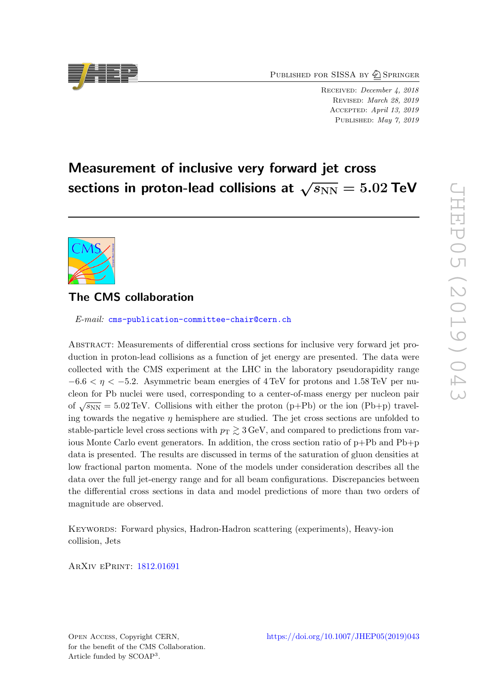PUBLISHED FOR SISSA BY 2 SPRINGER

Received: December 4, 2018 Revised: March 28, 2019 Accepted: April 13, 2019 PUBLISHED: May 7, 2019

# Measurement of inclusive very forward jet cross sections in proton-lead collisions at  $\sqrt{s_\mathrm{NN}} = 5.02$  TeV



# The CMS collaboration

E-mail: [cms-publication-committee-chair@cern.ch](mailto:cms-publication-committee-chair@cern.ch)

Abstract: Measurements of differential cross sections for inclusive very forward jet production in proton-lead collisions as a function of jet energy are presented. The data were collected with the CMS experiment at the LHC in the laboratory pseudorapidity range  $-6.6 < \eta < -5.2$ . Asymmetric beam energies of 4 TeV for protons and 1.58 TeV per nucleon for Pb nuclei were used, corresponding to a center-of-mass energy per nucleon pair of  $\sqrt{s_{NN}} = 5.02 \text{ TeV}$ . Collisions with either the proton  $(p+Pb)$  or the ion  $(Pb+p)$  traveling towards the negative  $\eta$  hemisphere are studied. The jet cross sections are unfolded to stable-particle level cross sections with  $p_T \geq 3 \,\text{GeV}$ , and compared to predictions from various Monte Carlo event generators. In addition, the cross section ratio of p+Pb and Pb+p data is presented. The results are discussed in terms of the saturation of gluon densities at low fractional parton momenta. None of the models under consideration describes all the data over the full jet-energy range and for all beam configurations. Discrepancies between the differential cross sections in data and model predictions of more than two orders of magnitude are observed.

Keywords: Forward physics, Hadron-Hadron scattering (experiments), Heavy-ion collision, Jets

ArXiv ePrint: [1812.01691](https://arxiv.org/abs/1812.01691)

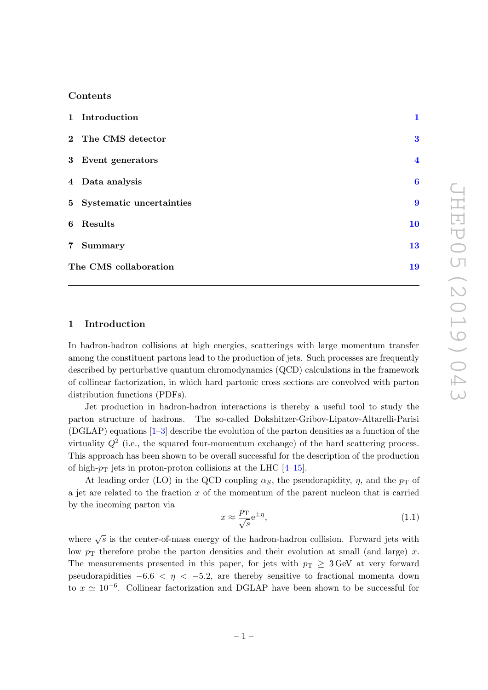### Contents

|                | 1 Introduction             | $\mathbf{1}$            |
|----------------|----------------------------|-------------------------|
|                | 2 The CMS detector         | 3                       |
|                | 3 Event generators         | $\overline{\mathbf{4}}$ |
|                | 4 Data analysis            | $\bf{6}$                |
|                | 5 Systematic uncertainties | $\boldsymbol{9}$        |
|                | 6 Results                  | 10                      |
| 7 <sup>7</sup> | Summary                    | 13                      |
|                | The CMS collaboration      | 19                      |

### <span id="page-1-0"></span>1 Introduction

In hadron-hadron collisions at high energies, scatterings with large momentum transfer among the constituent partons lead to the production of jets. Such processes are frequently described by perturbative quantum chromodynamics (QCD) calculations in the framework of collinear factorization, in which hard partonic cross sections are convolved with parton distribution functions (PDFs).

Jet production in hadron-hadron interactions is thereby a useful tool to study the parton structure of hadrons. The so-called Dokshitzer-Gribov-Lipatov-Altarelli-Parisi  $(DGLAP)$  equations  $[1-3]$  $[1-3]$  describe the evolution of the parton densities as a function of the virtuality  $Q^2$  (i.e., the squared four-momentum exchange) of the hard scattering process. This approach has been shown to be overall successful for the description of the production of high- $p_T$  jets in proton-proton collisions at the LHC [\[4](#page-14-2)[–15\]](#page-15-0).

At leading order (LO) in the QCD coupling  $\alpha_S$ , the pseudorapidity,  $\eta$ , and the  $p_T$  of a jet are related to the fraction  $x$  of the momentum of the parent nucleon that is carried by the incoming parton via

$$
x \approx \frac{p_{\rm T}}{\sqrt{s}} e^{\pm \eta},\tag{1.1}
$$

where  $\sqrt{s}$  is the center-of-mass energy of the hadron-hadron collision. Forward jets with low  $p_{\text{T}}$  therefore probe the parton densities and their evolution at small (and large) x. The measurements presented in this paper, for jets with  $p_T \geq 3 \text{ GeV}$  at very forward pseudorapidities  $-6.6 < \eta < -5.2$ , are thereby sensitive to fractional momenta down to  $x \simeq 10^{-6}$ . Collinear factorization and DGLAP have been shown to be successful for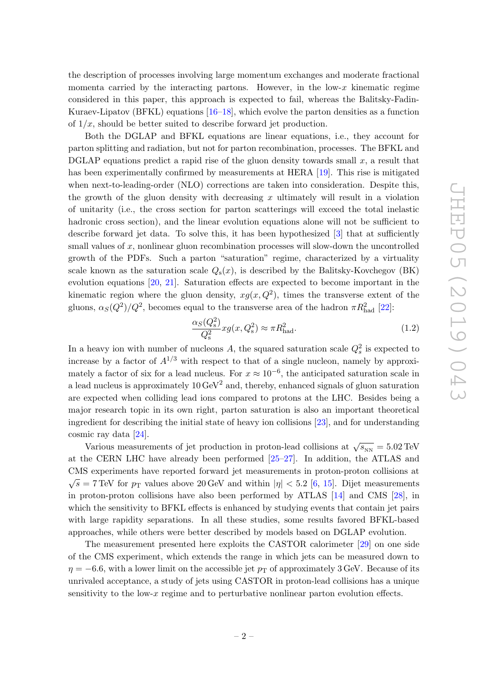the description of processes involving large momentum exchanges and moderate fractional momenta carried by the interacting partons. However, in the low- $x$  kinematic regime considered in this paper, this approach is expected to fail, whereas the Balitsky-Fadin-Kuraev-Lipatov (BFKL) equations [\[16–](#page-15-1)[18\]](#page-15-2), which evolve the parton densities as a function of  $1/x$ , should be better suited to describe forward jet production.

Both the DGLAP and BFKL equations are linear equations, i.e., they account for parton splitting and radiation, but not for parton recombination, processes. The BFKL and DGLAP equations predict a rapid rise of the gluon density towards small  $x$ , a result that has been experimentally confirmed by measurements at HERA [\[19\]](#page-15-3). This rise is mitigated when next-to-leading-order (NLO) corrections are taken into consideration. Despite this, the growth of the gluon density with decreasing  $x$  ultimately will result in a violation of unitarity (i.e., the cross section for parton scatterings will exceed the total inelastic hadronic cross section), and the linear evolution equations alone will not be sufficient to describe forward jet data. To solve this, it has been hypothesized [\[3\]](#page-14-1) that at sufficiently small values of  $x$ , nonlinear gluon recombination processes will slow-down the uncontrolled growth of the PDFs. Such a parton "saturation" regime, characterized by a virtuality scale known as the saturation scale  $Q_s(x)$ , is described by the Balitsky-Kovchegov (BK) evolution equations [\[20,](#page-15-4) [21\]](#page-15-5). Saturation effects are expected to become important in the kinematic region where the gluon density,  $xg(x, Q^2)$ , times the transverse extent of the gluons,  $\alpha_S(Q^2)/Q^2$ , becomes equal to the transverse area of the hadron  $\pi R_{\text{had}}^2$  [\[22\]](#page-15-6):

$$
\frac{\alpha_S(Q_s^2)}{Q_s^2} x g(x, Q_s^2) \approx \pi R_{\text{had}}^2. \tag{1.2}
$$

In a heavy ion with number of nucleons A, the squared saturation scale  $Q_s^2$  is expected to increase by a factor of  $A^{1/3}$  with respect to that of a single nucleon, namely by approximately a factor of six for a lead nucleus. For  $x \approx 10^{-6}$ , the anticipated saturation scale in a lead nucleus is approximately  $10 \,\text{GeV}^2$  and, thereby, enhanced signals of gluon saturation are expected when colliding lead ions compared to protons at the LHC. Besides being a major research topic in its own right, parton saturation is also an important theoretical ingredient for describing the initial state of heavy ion collisions [\[23\]](#page-15-7), and for understanding cosmic ray data [\[24\]](#page-15-8).

Various measurements of jet production in proton-lead collisions at  $\sqrt{s_{NN}} = 5.02 \text{ TeV}$ at the CERN LHC have already been performed [\[25–](#page-16-0)[27\]](#page-16-1). In addition, the ATLAS and CMS experiments have reported forward jet measurements in proton-proton collisions at  $\sqrt{s}$  = 7 TeV for  $p_T$  values above 20 GeV and within  $|\eta|$  < 5.2 [\[6,](#page-14-3) [15\]](#page-15-0). Dijet measurements in proton-proton collisions have also been performed by ATLAS [\[14\]](#page-15-9) and CMS [\[28\]](#page-16-2), in which the sensitivity to BFKL effects is enhanced by studying events that contain jet pairs with large rapidity separations. In all these studies, some results favored BFKL-based approaches, while others were better described by models based on DGLAP evolution.

The measurement presented here exploits the CASTOR calorimeter [\[29\]](#page-16-3) on one side of the CMS experiment, which extends the range in which jets can be measured down to  $\eta = -6.6$ , with a lower limit on the accessible jet  $p<sub>T</sub>$  of approximately 3 GeV. Because of its unrivaled acceptance, a study of jets using CASTOR in proton-lead collisions has a unique sensitivity to the low- $x$  regime and to perturbative nonlinear parton evolution effects.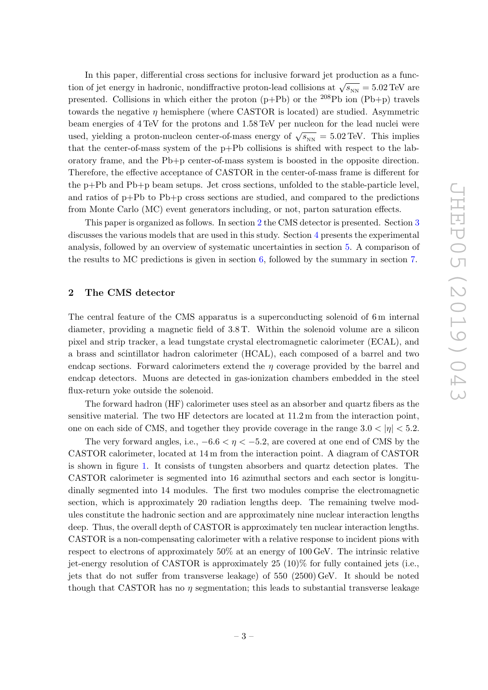In this paper, differential cross sections for inclusive forward jet production as a function of jet energy in hadronic, nondiffractive proton-lead collisions at  $\sqrt{s_{_{NN}}}$  = 5.02 TeV are presented. Collisions in which either the proton  $(p+Pb)$  or the <sup>208</sup>Pb ion  $(Pb+p)$  travels towards the negative  $\eta$  hemisphere (where CASTOR is located) are studied. Asymmetric beam energies of 4 TeV for the protons and 1.58 TeV per nucleon for the lead nuclei were used, yielding a proton-nucleon center-of-mass energy of  $\sqrt{s_{_{NN}}}$  = 5.02 TeV. This implies that the center-of-mass system of the p+Pb collisions is shifted with respect to the laboratory frame, and the Pb+p center-of-mass system is boosted in the opposite direction. Therefore, the effective acceptance of CASTOR in the center-of-mass frame is different for the p+Pb and Pb+p beam setups. Jet cross sections, unfolded to the stable-particle level, and ratios of p+Pb to Pb+p cross sections are studied, and compared to the predictions from Monte Carlo (MC) event generators including, or not, parton saturation effects.

This paper is organized as follows. In section [2](#page-3-0) the CMS detector is presented. Section [3](#page-4-0) discusses the various models that are used in this study. Section [4](#page-6-0) presents the experimental analysis, followed by an overview of systematic uncertainties in section [5.](#page-9-0) A comparison of the results to MC predictions is given in section [6,](#page-10-0) followed by the summary in section [7.](#page-13-0)

# <span id="page-3-0"></span>2 The CMS detector

The central feature of the CMS apparatus is a superconducting solenoid of 6 m internal diameter, providing a magnetic field of 3.8 T. Within the solenoid volume are a silicon pixel and strip tracker, a lead tungstate crystal electromagnetic calorimeter (ECAL), and a brass and scintillator hadron calorimeter (HCAL), each composed of a barrel and two endcap sections. Forward calorimeters extend the  $\eta$  coverage provided by the barrel and endcap detectors. Muons are detected in gas-ionization chambers embedded in the steel flux-return yoke outside the solenoid.

The forward hadron (HF) calorimeter uses steel as an absorber and quartz fibers as the sensitive material. The two HF detectors are located at 11.2 m from the interaction point, one on each side of CMS, and together they provide coverage in the range  $3.0 < |\eta| < 5.2$ .

The very forward angles, i.e.,  $-6.6 < \eta < -5.2$ , are covered at one end of CMS by the CASTOR calorimeter, located at 14 m from the interaction point. A diagram of CASTOR is shown in figure [1.](#page-4-1) It consists of tungsten absorbers and quartz detection plates. The CASTOR calorimeter is segmented into 16 azimuthal sectors and each sector is longitudinally segmented into 14 modules. The first two modules comprise the electromagnetic section, which is approximately 20 radiation lengths deep. The remaining twelve modules constitute the hadronic section and are approximately nine nuclear interaction lengths deep. Thus, the overall depth of CASTOR is approximately ten nuclear interaction lengths. CASTOR is a non-compensating calorimeter with a relative response to incident pions with respect to electrons of approximately 50% at an energy of 100 GeV. The intrinsic relative jet-energy resolution of CASTOR is approximately 25 (10)% for fully contained jets (i.e., jets that do not suffer from transverse leakage) of 550 (2500) GeV. It should be noted though that CASTOR has no  $\eta$  segmentation; this leads to substantial transverse leakage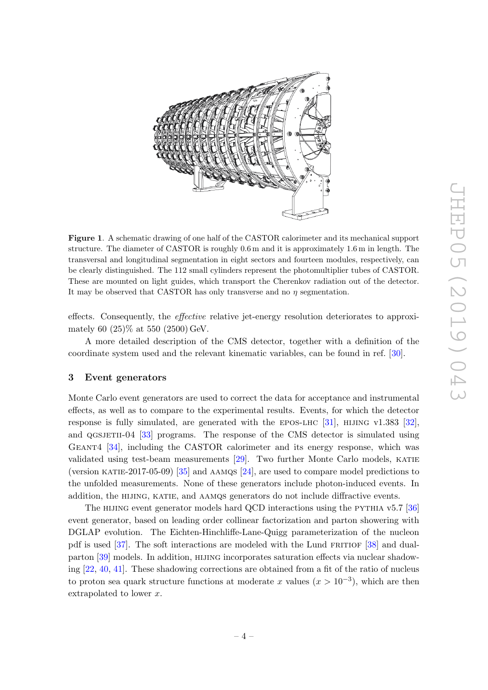

<span id="page-4-1"></span>Figure 1. A schematic drawing of one half of the CASTOR calorimeter and its mechanical support structure. The diameter of CASTOR is roughly 0.6 m and it is approximately 1.6 m in length. The transversal and longitudinal segmentation in eight sectors and fourteen modules, respectively, can be clearly distinguished. The 112 small cylinders represent the photomultiplier tubes of CASTOR. These are mounted on light guides, which transport the Cherenkov radiation out of the detector. It may be observed that CASTOR has only transverse and no  $\eta$  segmentation.

effects. Consequently, the effective relative jet-energy resolution deteriorates to approximately 60 (25)% at 550 (2500) GeV.

A more detailed description of the CMS detector, together with a definition of the coordinate system used and the relevant kinematic variables, can be found in ref. [\[30\]](#page-16-4).

#### <span id="page-4-0"></span>3 Event generators

Monte Carlo event generators are used to correct the data for acceptance and instrumental effects, as well as to compare to the experimental results. Events, for which the detector response is fully simulated, are generated with the EPOS-LHC  $[31]$ , HIJING v1.383  $[32]$ , and qgsjetii-04 [\[33\]](#page-16-7) programs. The response of the CMS detector is simulated using Geant4 [\[34\]](#page-16-8), including the CASTOR calorimeter and its energy response, which was validated using test-beam measurements [\[29\]](#page-16-3). Two further Monte Carlo models, katie (version KATIE-2017-05-09) [\[35\]](#page-16-9) and AAMQS [\[24\]](#page-15-8), are used to compare model predictions to the unfolded measurements. None of these generators include photon-induced events. In addition, the hijing, katie, and aamqs generators do not include diffractive events.

The HIJING event generator models hard QCD interactions using the PYTHIA v5.7 [\[36\]](#page-16-10) event generator, based on leading order collinear factorization and parton showering with DGLAP evolution. The Eichten-Hinchliffe-Lane-Quigg parameterization of the nucleon pdf is used [\[37\]](#page-16-11). The soft interactions are modeled with the Lund FRITIOF [\[38\]](#page-16-12) and dualparton [\[39\]](#page-16-13) models. In addition, hijing incorporates saturation effects via nuclear shadowing [\[22,](#page-15-6) [40,](#page-16-14) [41\]](#page-16-15). These shadowing corrections are obtained from a fit of the ratio of nucleus to proton sea quark structure functions at moderate x values  $(x > 10^{-3})$ , which are then extrapolated to lower x.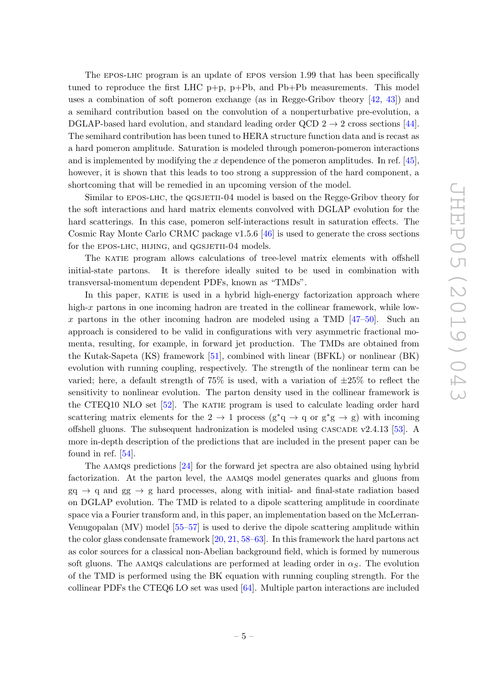The epos-lhc program is an update of epos version 1.99 that has been specifically tuned to reproduce the first LHC  $p+p$ ,  $p+Pb$ , and  $Pb+Pb$  measurements. This model uses a combination of soft pomeron exchange (as in Regge-Gribov theory [\[42,](#page-16-16) [43\]](#page-17-0)) and a semihard contribution based on the convolution of a nonperturbative pre-evolution, a DGLAP-based hard evolution, and standard leading order QCD  $2 \rightarrow 2$  cross sections [\[44\]](#page-17-1). The semihard contribution has been tuned to HERA structure function data and is recast as a hard pomeron amplitude. Saturation is modeled through pomeron-pomeron interactions and is implemented by modifying the x dependence of the pomeron amplitudes. In ref.  $[45]$ , however, it is shown that this leads to too strong a suppression of the hard component, a shortcoming that will be remedied in an upcoming version of the model.

Similar to EPOS-LHC, the QGSJETII-04 model is based on the Regge-Gribov theory for the soft interactions and hard matrix elements convolved with DGLAP evolution for the hard scatterings. In this case, pomeron self-interactions result in saturation effects. The Cosmic Ray Monte Carlo CRMC package v1.5.6 [\[46\]](#page-17-3) is used to generate the cross sections for the EPOS-LHC, HIJING, and QGSJETII-04 models.

The katie program allows calculations of tree-level matrix elements with offshell initial-state partons. It is therefore ideally suited to be used in combination with transversal-momentum dependent PDFs, known as "TMDs".

In this paper, KATIE is used in a hybrid high-energy factorization approach where high-x partons in one incoming hadron are treated in the collinear framework, while lowx partons in the other incoming hadron are modeled using a TMD  $[47-50]$  $[47-50]$ . Such an approach is considered to be valid in configurations with very asymmetric fractional momenta, resulting, for example, in forward jet production. The TMDs are obtained from the Kutak-Sapeta (KS) framework [\[51\]](#page-17-6), combined with linear (BFKL) or nonlinear (BK) evolution with running coupling, respectively. The strength of the nonlinear term can be varied; here, a default strength of  $75\%$  is used, with a variation of  $\pm 25\%$  to reflect the sensitivity to nonlinear evolution. The parton density used in the collinear framework is the CTEQ10 NLO set [\[52\]](#page-17-7). The KATIE program is used to calculate leading order hard scattering matrix elements for the 2  $\rightarrow$  1 process (g<sup>\*</sup>q  $\rightarrow$  q or g<sup>\*</sup>g  $\rightarrow$  g) with incoming offshell gluons. The subsequent hadronization is modeled using cascade v2.4.13 [\[53\]](#page-17-8). A more in-depth description of the predictions that are included in the present paper can be found in ref. [\[54\]](#page-17-9).

The AAMQS predictions [\[24\]](#page-15-8) for the forward jet spectra are also obtained using hybrid factorization. At the parton level, the aamqs model generates quarks and gluons from  $gq \rightarrow q$  and  $gg \rightarrow g$  hard processes, along with initial- and final-state radiation based on DGLAP evolution. The TMD is related to a dipole scattering amplitude in coordinate space via a Fourier transform and, in this paper, an implementation based on the McLerran-Venugopalan (MV) model [\[55](#page-17-10)[–57\]](#page-17-11) is used to derive the dipole scattering amplitude within the color glass condensate framework [\[20,](#page-15-4) [21,](#page-15-5) [58](#page-17-12)[–63\]](#page-18-0). In this framework the hard partons act as color sources for a classical non-Abelian background field, which is formed by numerous soft gluons. The AAMQS calculations are performed at leading order in  $\alpha_{\rm S}$ . The evolution of the TMD is performed using the BK equation with running coupling strength. For the collinear PDFs the CTEQ6 LO set was used [\[64\]](#page-18-1). Multiple parton interactions are included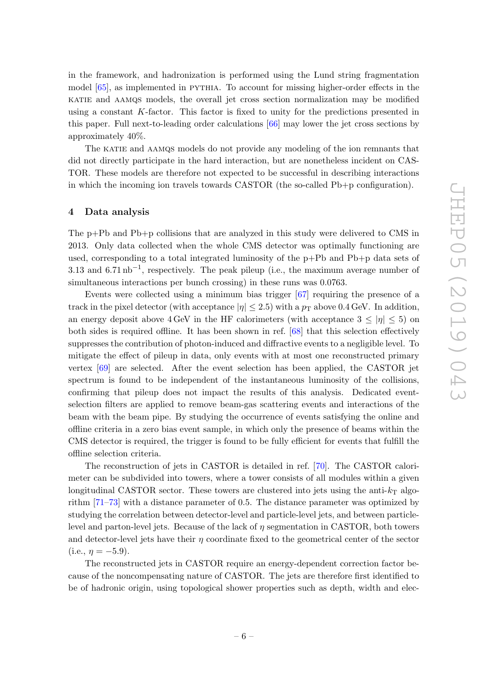in the framework, and hadronization is performed using the Lund string fragmentation model  $[65]$ , as implemented in PYTHIA. To account for missing higher-order effects in the katie and aamqs models, the overall jet cross section normalization may be modified using a constant K-factor. This factor is fixed to unity for the predictions presented in this paper. Full next-to-leading order calculations [\[66\]](#page-18-3) may lower the jet cross sections by approximately 40%.

The katie and aamqs models do not provide any modeling of the ion remnants that did not directly participate in the hard interaction, but are nonetheless incident on CAS-TOR. These models are therefore not expected to be successful in describing interactions in which the incoming ion travels towards CASTOR (the so-called Pb+p configuration).

#### <span id="page-6-0"></span>4 Data analysis

The p+Pb and Pb+p collisions that are analyzed in this study were delivered to CMS in 2013. Only data collected when the whole CMS detector was optimally functioning are used, corresponding to a total integrated luminosity of the p+Pb and Pb+p data sets of 3.13 and  $6.71 \text{ nb}^{-1}$ , respectively. The peak pileup (i.e., the maximum average number of simultaneous interactions per bunch crossing) in these runs was 0.0763.

Events were collected using a minimum bias trigger [\[67\]](#page-18-4) requiring the presence of a track in the pixel detector (with acceptance  $|\eta| \leq 2.5$ ) with a  $p_T$  above 0.4 GeV. In addition, an energy deposit above 4 GeV in the HF calorimeters (with acceptance  $3 \leq |\eta| \leq 5$ ) on both sides is required offline. It has been shown in ref. [\[68\]](#page-18-5) that this selection effectively suppresses the contribution of photon-induced and diffractive events to a negligible level. To mitigate the effect of pileup in data, only events with at most one reconstructed primary vertex [\[69\]](#page-18-6) are selected. After the event selection has been applied, the CASTOR jet spectrum is found to be independent of the instantaneous luminosity of the collisions, confirming that pileup does not impact the results of this analysis. Dedicated eventselection filters are applied to remove beam-gas scattering events and interactions of the beam with the beam pipe. By studying the occurrence of events satisfying the online and offline criteria in a zero bias event sample, in which only the presence of beams within the CMS detector is required, the trigger is found to be fully efficient for events that fulfill the offline selection criteria.

The reconstruction of jets in CASTOR is detailed in ref. [\[70\]](#page-18-7). The CASTOR calorimeter can be subdivided into towers, where a tower consists of all modules within a given longitudinal CASTOR sector. These towers are clustered into jets using the anti- $k_T$  algorithm [\[71](#page-18-8)[–73\]](#page-18-9) with a distance parameter of 0.5. The distance parameter was optimized by studying the correlation between detector-level and particle-level jets, and between particlelevel and parton-level jets. Because of the lack of  $\eta$  segmentation in CASTOR, both towers and detector-level jets have their  $\eta$  coordinate fixed to the geometrical center of the sector (i.e.,  $\eta = -5.9$ ).

The reconstructed jets in CASTOR require an energy-dependent correction factor because of the noncompensating nature of CASTOR. The jets are therefore first identified to be of hadronic origin, using topological shower properties such as depth, width and elec-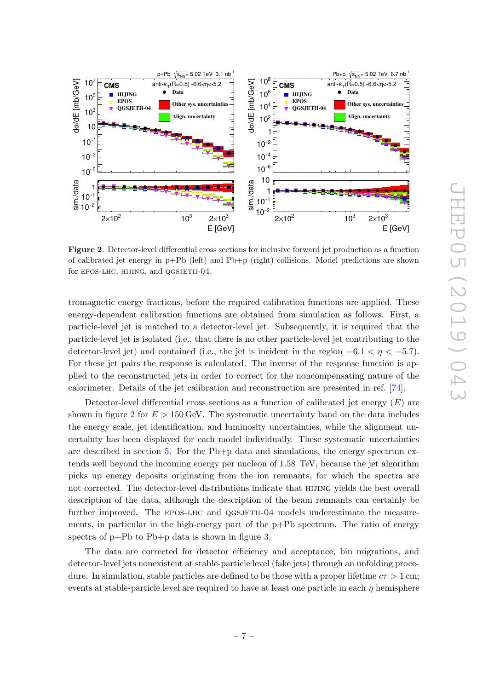

<span id="page-7-0"></span>Figure 2. Detector-level differential cross sections for inclusive forward jet production as a function of calibrated jet energy in p+Pb (left) and Pb+p (right) collisions. Model predictions are shown for EPOS-LHC, HIJING, and QGSJETII-04.

tromagnetic energy fractions, before the required calibration functions are applied. These energy-dependent calibration functions are obtained from simulation as follows. First, a particle-level jet is matched to a detector-level jet. Subsequently, it is required that the particle-level jet is isolated (i.e., that there is no other particle-level jet contributing to the detector-level jet) and contained (i.e., the jet is incident in the region  $-6.1 < \eta < -5.7$ ). For these jet pairs the response is calculated. The inverse of the response function is applied to the reconstructed jets in order to correct for the noncompensating nature of the calorimeter. Details of the jet calibration and reconstruction are presented in ref. [\[74\]](#page-18-10).

Detector-level differential cross sections as a function of calibrated jet energy  $(E)$  are shown in figure [2](#page-7-0) for  $E > 150$  GeV. The systematic uncertainty band on the data includes the energy scale, jet identification, and luminosity uncertainties, while the alignment uncertainty has been displayed for each model individually. These systematic uncertainties are described in section [5.](#page-9-0) For the Pb+p data and simulations, the energy spectrum extends well beyond the incoming energy per nucleon of 1.58 TeV, because the jet algorithm picks up energy deposits originating from the ion remnants, for which the spectra are not corrected. The detector-level distributions indicate that hijing yields the best overall description of the data, although the description of the beam remnants can certainly be further improved. The EPOS-LHC and QGSJETII-04 models underestimate the measurements, in particular in the high-energy part of the  $p+Pb$  spectrum. The ratio of energy spectra of  $p+Pb$  to  $Pb+p$  data is shown in figure [3.](#page-8-0)

The data are corrected for detector efficiency and acceptance, bin migrations, and detector-level jets nonexistent at stable-particle level (fake jets) through an unfolding procedure. In simulation, stable particles are defined to be those with a proper lifetime  $c\tau > 1$  cm; events at stable-particle level are required to have at least one particle in each  $\eta$  hemisphere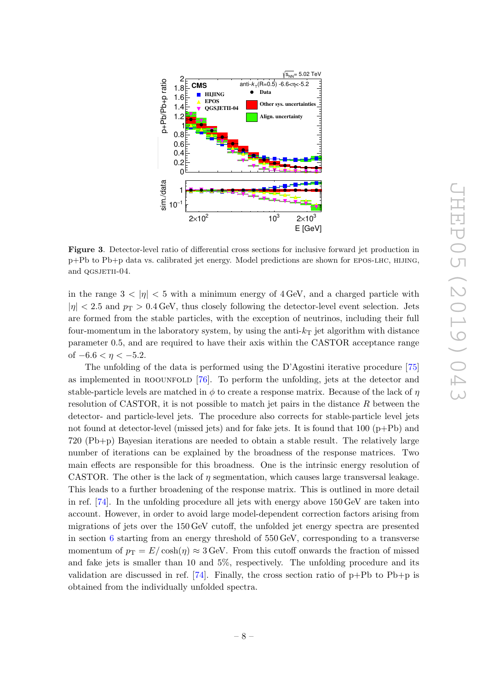

<span id="page-8-0"></span>Figure 3. Detector-level ratio of differential cross sections for inclusive forward jet production in p+Pb to Pb+p data vs. calibrated jet energy. Model predictions are shown for epos-lhc, hijing, and QGSJETII-04.

in the range  $3 < |\eta| < 5$  with a minimum energy of 4 GeV, and a charged particle with  $|\eta| < 2.5$  and  $p_T > 0.4$  GeV, thus closely following the detector-level event selection. Jets are formed from the stable particles, with the exception of neutrinos, including their full four-momentum in the laboratory system, by using the anti- $k_T$  jet algorithm with distance parameter 0.5, and are required to have their axis within the CASTOR acceptance range of  $-6.6 < \eta < -5.2$ .

The unfolding of the data is performed using the D'Agostini iterative procedure [\[75\]](#page-18-11) as implemented in ROOUNFOLD [\[76\]](#page-18-12). To perform the unfolding, jets at the detector and stable-particle levels are matched in  $\phi$  to create a response matrix. Because of the lack of  $\eta$ resolution of CASTOR, it is not possible to match jet pairs in the distance R between the detector- and particle-level jets. The procedure also corrects for stable-particle level jets not found at detector-level (missed jets) and for fake jets. It is found that  $100$  (p+Pb) and 720 (Pb+p) Bayesian iterations are needed to obtain a stable result. The relatively large number of iterations can be explained by the broadness of the response matrices. Two main effects are responsible for this broadness. One is the intrinsic energy resolution of CASTOR. The other is the lack of  $\eta$  segmentation, which causes large transversal leakage. This leads to a further broadening of the response matrix. This is outlined in more detail in ref. [\[74\]](#page-18-10). In the unfolding procedure all jets with energy above 150 GeV are taken into account. However, in order to avoid large model-dependent correction factors arising from migrations of jets over the 150 GeV cutoff, the unfolded jet energy spectra are presented in section [6](#page-10-0) starting from an energy threshold of 550 GeV, corresponding to a transverse momentum of  $p_T = E/\cosh(\eta) \approx 3$  GeV. From this cutoff onwards the fraction of missed and fake jets is smaller than 10 and 5%, respectively. The unfolding procedure and its validation are discussed in ref. [\[74\]](#page-18-10). Finally, the cross section ratio of  $p+Pb$  to  $Pb+p$  is obtained from the individually unfolded spectra.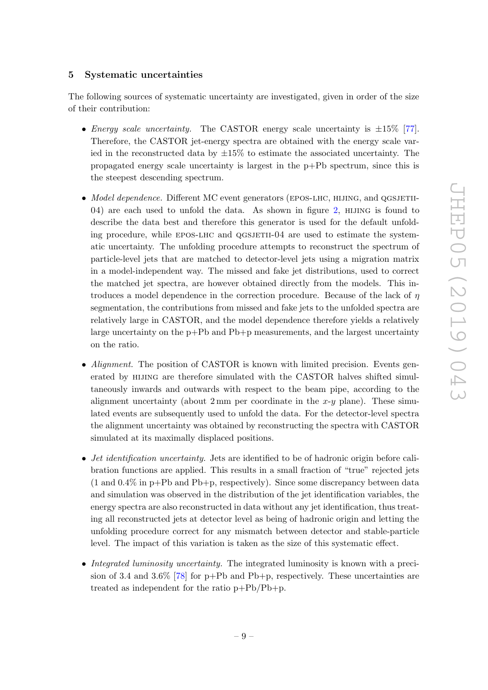# <span id="page-9-0"></span>5 Systematic uncertainties

The following sources of systematic uncertainty are investigated, given in order of the size of their contribution:

- Energy scale uncertainty. The CASTOR energy scale uncertainty is  $\pm 15\%$  [\[77\]](#page-18-13). Therefore, the CASTOR jet-energy spectra are obtained with the energy scale varied in the reconstructed data by  $\pm 15\%$  to estimate the associated uncertainty. The propagated energy scale uncertainty is largest in the p+Pb spectrum, since this is the steepest descending spectrum.
- Model dependence. Different MC event generators (EPOS-LHC, HIJING, and QGSJETII-04) are each used to unfold the data. As shown in figure  $2$ , HIJING is found to describe the data best and therefore this generator is used for the default unfolding procedure, while epos-lhc and qgsjetii-04 are used to estimate the systematic uncertainty. The unfolding procedure attempts to reconstruct the spectrum of particle-level jets that are matched to detector-level jets using a migration matrix in a model-independent way. The missed and fake jet distributions, used to correct the matched jet spectra, are however obtained directly from the models. This introduces a model dependence in the correction procedure. Because of the lack of  $\eta$ segmentation, the contributions from missed and fake jets to the unfolded spectra are relatively large in CASTOR, and the model dependence therefore yields a relatively large uncertainty on the p+Pb and Pb+p measurements, and the largest uncertainty on the ratio.
- Alignment. The position of CASTOR is known with limited precision. Events generated by hijing are therefore simulated with the CASTOR halves shifted simultaneously inwards and outwards with respect to the beam pipe, according to the alignment uncertainty (about  $2 \text{ mm}$  per coordinate in the  $x-y$  plane). These simulated events are subsequently used to unfold the data. For the detector-level spectra the alignment uncertainty was obtained by reconstructing the spectra with CASTOR simulated at its maximally displaced positions.
- *Jet identification uncertainty*. Jets are identified to be of hadronic origin before calibration functions are applied. This results in a small fraction of "true" rejected jets  $(1 \text{ and } 0.4\% \text{ in } p+Pb \text{ and } Pb+p$ , respectively). Since some discrepancy between data and simulation was observed in the distribution of the jet identification variables, the energy spectra are also reconstructed in data without any jet identification, thus treating all reconstructed jets at detector level as being of hadronic origin and letting the unfolding procedure correct for any mismatch between detector and stable-particle level. The impact of this variation is taken as the size of this systematic effect.
- Integrated luminosity uncertainty. The integrated luminosity is known with a precision of 3.4 and  $3.6\%$  [\[78\]](#page-18-14) for p+Pb and Pb+p, respectively. These uncertainties are treated as independent for the ratio p+Pb/Pb+p.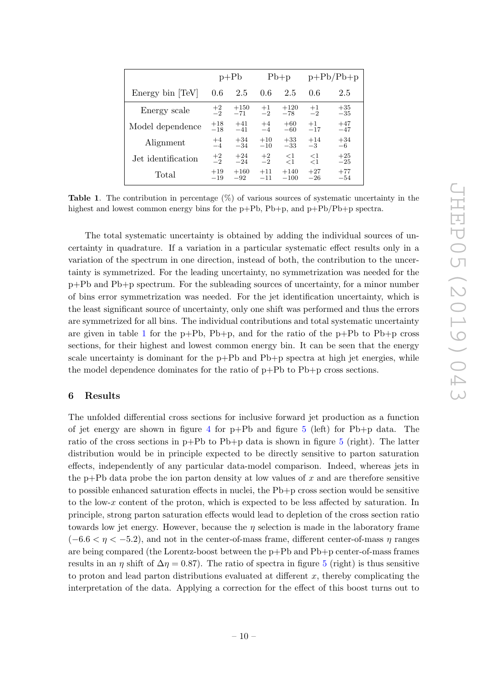|                    | $p+Pb$       |                | $Pb+p$       |                | $p+Pb/Pb+p$       |                |
|--------------------|--------------|----------------|--------------|----------------|-------------------|----------------|
| Energy bin [TeV]   | 0.6          | 2.5            | 0.6          | 2.5            | 0.6               | 2.5            |
| Energy scale       | $+2$         | $+150$         | $+1$         | $+120$         | $+1$              | $+35$          |
|                    | $-2$         | $-71$          | $-2$         | $-78$          | $-2$              | $-35$          |
| Model dependence   | $+18$        | $+41$          | $+4$         | $+60$          | $+1$              | $+47$          |
|                    | $-18$        | $-41$          | $-4$         | $-60$          | $-17$             | $-47$          |
| Alignment          | $+4$         | $+34$          | $+10$        | $+33$          | $+14$             | $+34$          |
|                    | $-4$         | $-34$          | $-10$        | $-33$          | $-3$              | $-6$           |
| Jet identification | $^{+2}_{-2}$ | $+24$<br>$-24$ | $+2$<br>$-2$ | $\leq$ 1<br><1 | $\leq$ 1<br>$<$ 1 | $+25$<br>$-25$ |
| Total              | $+19$        | $+160$         | $+11$        | $+140$         | $+27$             | $+77$          |
|                    | $-19$        | $-92$          | $-11$        | $-100$         | $-26$             | $-54$          |

<span id="page-10-1"></span>Table 1. The contribution in percentage (%) of various sources of systematic uncertainty in the highest and lowest common energy bins for the p+Pb, Pb+p, and p+Pb/Pb+p spectra.

The total systematic uncertainty is obtained by adding the individual sources of uncertainty in quadrature. If a variation in a particular systematic effect results only in a variation of the spectrum in one direction, instead of both, the contribution to the uncertainty is symmetrized. For the leading uncertainty, no symmetrization was needed for the p+Pb and Pb+p spectrum. For the subleading sources of uncertainty, for a minor number of bins error symmetrization was needed. For the jet identification uncertainty, which is the least significant source of uncertainty, only one shift was performed and thus the errors are symmetrized for all bins. The individual contributions and total systematic uncertainty are given in table [1](#page-10-1) for the  $p+Pb$ ,  $Pb+p$ , and for the ratio of the  $p+Pb$  to  $Pb+p$  cross sections, for their highest and lowest common energy bin. It can be seen that the energy scale uncertainty is dominant for the  $p+Pb$  and  $Pb+p$  spectra at high jet energies, while the model dependence dominates for the ratio of  $p+Pb$  to  $Pb+p$  cross sections.

# <span id="page-10-0"></span>6 Results

The unfolded differential cross sections for inclusive forward jet production as a function of jet energy are shown in figure [4](#page-12-0) for  $p+Pb$  and figure [5](#page-12-1) (left) for  $Pb+p$  data. The ratio of the cross sections in  $p+Pb$  to  $Pb+p$  data is shown in figure [5](#page-12-1) (right). The latter distribution would be in principle expected to be directly sensitive to parton saturation effects, independently of any particular data-model comparison. Indeed, whereas jets in the p+Pb data probe the ion parton density at low values of  $x$  and are therefore sensitive to possible enhanced saturation effects in nuclei, the Pb+p cross section would be sensitive to the low-x content of the proton, which is expected to be less affected by saturation. In principle, strong parton saturation effects would lead to depletion of the cross section ratio towards low jet energy. However, because the  $\eta$  selection is made in the laboratory frame  $(-6.6 < \eta < -5.2)$ , and not in the center-of-mass frame, different center-of-mass  $\eta$  ranges are being compared (the Lorentz-boost between the p+Pb and Pb+p center-of-mass frames results in an  $\eta$  shift of  $\Delta \eta = 0.87$ . The ratio of spectra in figure [5](#page-12-1) (right) is thus sensitive to proton and lead parton distributions evaluated at different  $x$ , thereby complicating the interpretation of the data. Applying a correction for the effect of this boost turns out to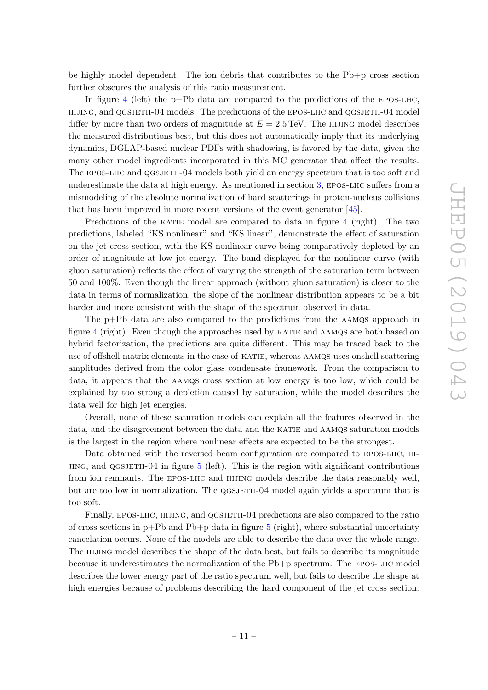be highly model dependent. The ion debris that contributes to the Pb+p cross section further obscures the analysis of this ratio measurement.

In figure [4](#page-12-0) (left) the  $p+Pb$  data are compared to the predictions of the EPOS-LHC, hijing, and qgsjetii-04 models. The predictions of the epos-lhc and qgsjetii-04 model differ by more than two orders of magnitude at  $E = 2.5$  TeV. The HIJING model describes the measured distributions best, but this does not automatically imply that its underlying dynamics, DGLAP-based nuclear PDFs with shadowing, is favored by the data, given the many other model ingredients incorporated in this MC generator that affect the results. The EPOS-LHC and QGSJETII-04 models both yield an energy spectrum that is too soft and underestimate the data at high energy. As mentioned in section [3,](#page-4-0) epos-lhc suffers from a mismodeling of the absolute normalization of hard scatterings in proton-nucleus collisions that has been improved in more recent versions of the event generator [\[45\]](#page-17-2).

Predictions of the KATIE model are compared to data in figure [4](#page-12-0) (right). The two predictions, labeled "KS nonlinear" and "KS linear", demonstrate the effect of saturation on the jet cross section, with the KS nonlinear curve being comparatively depleted by an order of magnitude at low jet energy. The band displayed for the nonlinear curve (with gluon saturation) reflects the effect of varying the strength of the saturation term between 50 and 100%. Even though the linear approach (without gluon saturation) is closer to the data in terms of normalization, the slope of the nonlinear distribution appears to be a bit harder and more consistent with the shape of the spectrum observed in data.

The p+Pb data are also compared to the predictions from the aamqs approach in figure [4](#page-12-0) (right). Even though the approaches used by KATIE and AAMQS are both based on hybrid factorization, the predictions are quite different. This may be traced back to the use of offshell matrix elements in the case of katie, whereas aamqs uses onshell scattering amplitudes derived from the color glass condensate framework. From the comparison to data, it appears that the aamqs cross section at low energy is too low, which could be explained by too strong a depletion caused by saturation, while the model describes the data well for high jet energies.

Overall, none of these saturation models can explain all the features observed in the data, and the disagreement between the data and the KATIE and AAMQS saturation models is the largest in the region where nonlinear effects are expected to be the strongest.

Data obtained with the reversed beam configuration are compared to EPOS-LHC, HI- $JING$ , and  $QGSJETII-04$  in figure  $5$  (left). This is the region with significant contributions from ion remnants. The epos-lhc and hijing models describe the data reasonably well, but are too low in normalization. The QGSJETII-04 model again yields a spectrum that is too soft.

Finally, EPOS-LHC, HIJING, and QGSJETII-04 predictions are also compared to the ratio of cross sections in  $p+Pb$  and  $Pb+p$  data in figure [5](#page-12-1) (right), where substantial uncertainty cancelation occurs. None of the models are able to describe the data over the whole range. The hijing model describes the shape of the data best, but fails to describe its magnitude because it underestimates the normalization of the Pb+p spectrum. The epos-lhc model describes the lower energy part of the ratio spectrum well, but fails to describe the shape at high energies because of problems describing the hard component of the jet cross section.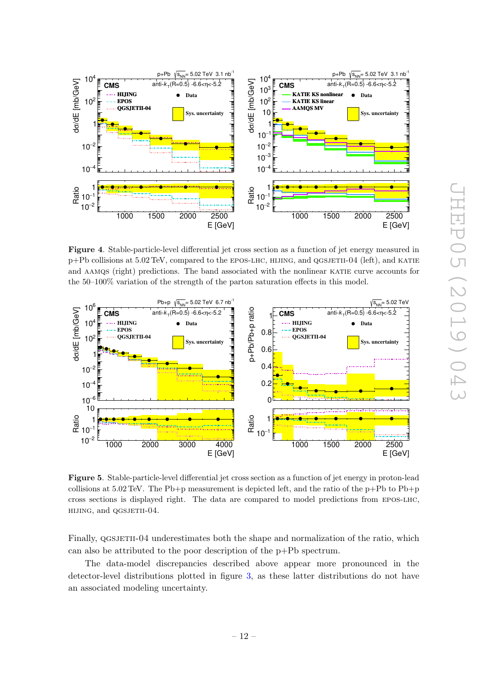

<span id="page-12-0"></span>Figure 4. Stable-particle-level differential jet cross section as a function of jet energy measured in p+Pb collisions at 5.02 TeV, compared to the EPOS-LHC, HIJING, and QGSJETII-04 (left), and KATIE and AAMQS (right) predictions. The band associated with the nonlinear KATIE curve accounts for the 50–100% variation of the strength of the parton saturation effects in this model.



<span id="page-12-1"></span>Figure 5. Stable-particle-level differential jet cross section as a function of jet energy in proton-lead collisions at  $5.02 \text{ TeV}$ . The Pb+p measurement is depicted left, and the ratio of the p+Pb to Pb+p cross sections is displayed right. The data are compared to model predictions from epos-lhc, hijing, and qgsjetii-04.

Finally, QGSJETII-04 underestimates both the shape and normalization of the ratio, which can also be attributed to the poor description of the p+Pb spectrum.

The data-model discrepancies described above appear more pronounced in the detector-level distributions plotted in figure [3,](#page-8-0) as these latter distributions do not have an associated modeling uncertainty.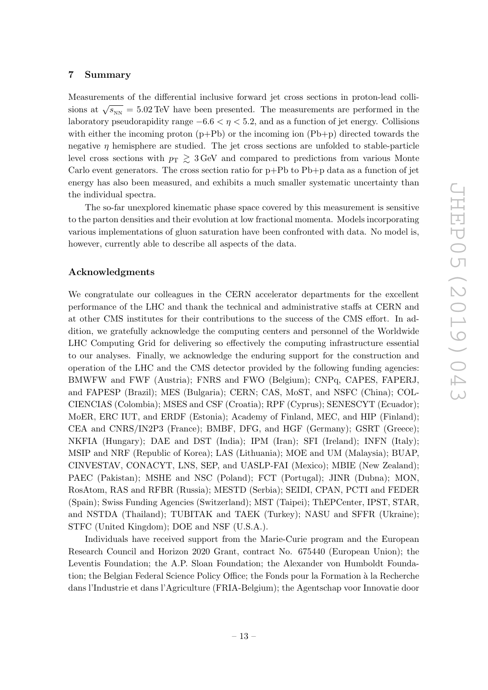# <span id="page-13-0"></span>7 Summary

Measurements of the differential inclusive forward jet cross sections in proton-lead collisions at  $\sqrt{s_{_{NN}}}$  = 5.02 TeV have been presented. The measurements are performed in the laboratory pseudorapidity range  $-6.6 < \eta < 5.2$ , and as a function of jet energy. Collisions with either the incoming proton  $(p+Pb)$  or the incoming ion  $(Pb+p)$  directed towards the negative  $\eta$  hemisphere are studied. The jet cross sections are unfolded to stable-particle level cross sections with  $p_T \geq 3$  GeV and compared to predictions from various Monte Carlo event generators. The cross section ratio for  $p+Pb$  to  $Pb+p$  data as a function of jet energy has also been measured, and exhibits a much smaller systematic uncertainty than the individual spectra.

The so-far unexplored kinematic phase space covered by this measurement is sensitive to the parton densities and their evolution at low fractional momenta. Models incorporating various implementations of gluon saturation have been confronted with data. No model is, however, currently able to describe all aspects of the data.

### Acknowledgments

We congratulate our colleagues in the CERN accelerator departments for the excellent performance of the LHC and thank the technical and administrative staffs at CERN and at other CMS institutes for their contributions to the success of the CMS effort. In addition, we gratefully acknowledge the computing centers and personnel of the Worldwide LHC Computing Grid for delivering so effectively the computing infrastructure essential to our analyses. Finally, we acknowledge the enduring support for the construction and operation of the LHC and the CMS detector provided by the following funding agencies: BMWFW and FWF (Austria); FNRS and FWO (Belgium); CNPq, CAPES, FAPERJ, and FAPESP (Brazil); MES (Bulgaria); CERN; CAS, MoST, and NSFC (China); COL-CIENCIAS (Colombia); MSES and CSF (Croatia); RPF (Cyprus); SENESCYT (Ecuador); MoER, ERC IUT, and ERDF (Estonia); Academy of Finland, MEC, and HIP (Finland); CEA and CNRS/IN2P3 (France); BMBF, DFG, and HGF (Germany); GSRT (Greece); NKFIA (Hungary); DAE and DST (India); IPM (Iran); SFI (Ireland); INFN (Italy); MSIP and NRF (Republic of Korea); LAS (Lithuania); MOE and UM (Malaysia); BUAP, CINVESTAV, CONACYT, LNS, SEP, and UASLP-FAI (Mexico); MBIE (New Zealand); PAEC (Pakistan); MSHE and NSC (Poland); FCT (Portugal); JINR (Dubna); MON, RosAtom, RAS and RFBR (Russia); MESTD (Serbia); SEIDI, CPAN, PCTI and FEDER (Spain); Swiss Funding Agencies (Switzerland); MST (Taipei); ThEPCenter, IPST, STAR, and NSTDA (Thailand); TUBITAK and TAEK (Turkey); NASU and SFFR (Ukraine); STFC (United Kingdom); DOE and NSF (U.S.A.).

Individuals have received support from the Marie-Curie program and the European Research Council and Horizon 2020 Grant, contract No. 675440 (European Union); the Leventis Foundation; the A.P. Sloan Foundation; the Alexander von Humboldt Foundation; the Belgian Federal Science Policy Office; the Fonds pour la Formation à la Recherche dans l'Industrie et dans l'Agriculture (FRIA-Belgium); the Agentschap voor Innovatie door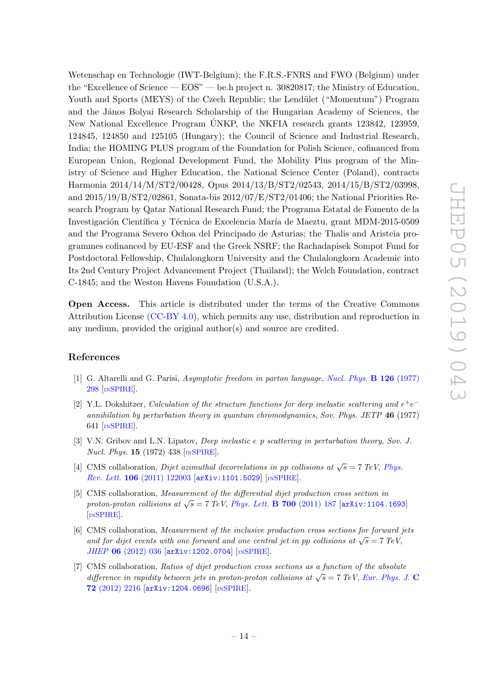Wetenschap en Technologie (IWT-Belgium); the F.R.S.-FNRS and FWO (Belgium) under the "Excellence of Science — EOS" — be.h project n. 30820817; the Ministry of Education, Youth and Sports (MEYS) of the Czech Republic; the Lendület ("Momentum") Program and the János Bolyai Research Scholarship of the Hungarian Academy of Sciences, the New National Excellence Program UNKP, the NKFIA research grants 123842, 123959, ´ 124845, 124850 and 125105 (Hungary); the Council of Science and Industrial Research, India; the HOMING PLUS program of the Foundation for Polish Science, cofinanced from European Union, Regional Development Fund, the Mobility Plus program of the Ministry of Science and Higher Education, the National Science Center (Poland), contracts Harmonia 2014/14/M/ST2/00428, Opus 2014/13/B/ST2/02543, 2014/15/B/ST2/03998, and 2015/19/B/ST2/02861, Sonata-bis 2012/07/E/ST2/01406; the National Priorities Research Program by Qatar National Research Fund; the Programa Estatal de Fomento de la Investigación Científica y Técnica de Excelencia María de Maeztu, grant MDM-2015-0509 and the Programa Severo Ochoa del Principado de Asturias; the Thalis and Aristeia programmes cofinanced by EU-ESF and the Greek NSRF; the Rachadapisek Sompot Fund for Postdoctoral Fellowship, Chulalongkorn University and the Chulalongkorn Academic into Its 2nd Century Project Advancement Project (Thailand); the Welch Foundation, contract C-1845; and the Weston Havens Foundation (U.S.A.).

Open Access. This article is distributed under the terms of the Creative Commons Attribution License [\(CC-BY 4.0\)](https://creativecommons.org/licenses/by/4.0/), which permits any use, distribution and reproduction in any medium, provided the original author(s) and source are credited.

# References

- <span id="page-14-0"></span>[1] G. Altarelli and G. Parisi, Asymptotic freedom in parton language, [Nucl. Phys.](https://doi.org/10.1016/0550-3213(77)90384-4) B 126 (1977) [298](https://doi.org/10.1016/0550-3213(77)90384-4) [IN[SPIRE](https://inspirehep.net/search?p=find+J+%22Nucl.Phys.,B126,298%22)].
- [2] Y.L. Dokshitzer, Calculation of the structure functions for deep inelastic scattering and  $e^+e^$ annihilation by perturbation theory in quantum chromodynamics, Sov. Phys. JETP  $46$  (1977) 641 [IN[SPIRE](https://inspirehep.net/search?p=find+J+%22Sov.Phys.JETP,46,641%22)].
- <span id="page-14-1"></span>[3] V.N. Gribov and L.N. Lipatov, Deep inelastic e p scattering in perturbation theory, Sov. J. Nucl. Phys. 15 (1972) 438 [IN[SPIRE](https://inspirehep.net/search?p=find+J+%22Sov.J.Nucl.Phys.,15,438%22)].
- <span id="page-14-2"></span>[4] CMS collaboration, *Dijet azimuthal decorrelations in pp collisions at*  $\sqrt{s} = 7 \text{ TeV}$ , *[Phys.](https://doi.org/10.1103/PhysRevLett.106.122003)* Rev. Lett. 106 [\(2011\) 122003](https://doi.org/10.1103/PhysRevLett.106.122003) [[arXiv:1101.5029](https://arxiv.org/abs/1101.5029)] [IN[SPIRE](https://inspirehep.net/search?p=find+EPRINT+arXiv:1101.5029)].
- [5] CMS collaboration, Measurement of the differential dijet production cross section in proton-proton collisions at  $\sqrt{s} = 7 \text{ TeV}$ , *[Phys. Lett.](https://doi.org/10.1016/j.physletb.2011.05.027)* **B** 700 (2011) 187 [[arXiv:1104.1693](https://arxiv.org/abs/1104.1693)] [IN[SPIRE](https://inspirehep.net/search?p=find+EPRINT+arXiv:1104.1693)].
- <span id="page-14-3"></span>[6] CMS collaboration, Measurement of the inclusive production cross sections for forward jets and for dijet events with one forward and one central jet in pp collisions at  $\sqrt{s} = 7$  TeV, JHEP 06 [\(2012\) 036](https://doi.org/10.1007/JHEP06(2012)036) [[arXiv:1202.0704](https://arxiv.org/abs/1202.0704)] [IN[SPIRE](https://inspirehep.net/search?p=find+EPRINT+arXiv:1202.0704)].
- [7] CMS collaboration, Ratios of dijet production cross sections as a function of the absolute  $\sigma$  difference in rapidity between jets in proton-proton collisions at  $\sqrt{s} = 7 \text{ TeV}$ , [Eur. Phys. J.](https://doi.org/10.1140/epjc/s10052-012-2216-6) C 72 [\(2012\) 2216](https://doi.org/10.1140/epjc/s10052-012-2216-6) [[arXiv:1204.0696](https://arxiv.org/abs/1204.0696)] [IN[SPIRE](https://inspirehep.net/search?p=find+EPRINT+arXiv:1204.0696)].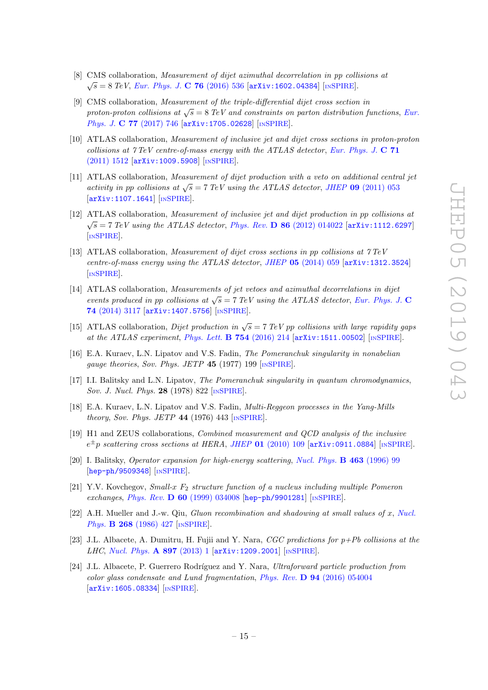- [8] CMS collaboration, Measurement of dijet azimuthal decorrelation in pp collisions at  $\sqrt{s} = 8 \text{ TeV}, \text{ Eur. Phys. J. C } 76 \text{ (2016) } 536 \text{ [arXiv:1602.04384] [nSPIRE].}$  $\sqrt{s} = 8 \text{ TeV}, \text{ Eur. Phys. J. C } 76 \text{ (2016) } 536 \text{ [arXiv:1602.04384] [nSPIRE].}$  $\sqrt{s} = 8 \text{ TeV}, \text{ Eur. Phys. J. C } 76 \text{ (2016) } 536 \text{ [arXiv:1602.04384] [nSPIRE].}$  $\sqrt{s} = 8 \text{ TeV}, \text{ Eur. Phys. J. C } 76 \text{ (2016) } 536 \text{ [arXiv:1602.04384] [nSPIRE].}$  $\sqrt{s} = 8 \text{ TeV}, \text{ Eur. Phys. J. C } 76 \text{ (2016) } 536 \text{ [arXiv:1602.04384] [nSPIRE].}$  $\sqrt{s} = 8 \text{ TeV}, \text{ Eur. Phys. J. C } 76 \text{ (2016) } 536 \text{ [arXiv:1602.04384] [nSPIRE].}$  $\sqrt{s} = 8 \text{ TeV}, \text{ Eur. Phys. J. C } 76 \text{ (2016) } 536 \text{ [arXiv:1602.04384] [nSPIRE].}$
- [9] CMS collaboration, Measurement of the triple-differential dijet cross section in  $\sigma_{\text{NLO}}$  consolidation, measurement of the triple-differential differentials of parton in<br>proton-proton collisions at  $\sqrt{s} = 8$  TeV and constraints on parton distribution functions, [Eur.](https://doi.org/10.1140/epjc/s10052-017-5286-7) Phys. J. C 77 [\(2017\) 746](https://doi.org/10.1140/epjc/s10052-017-5286-7)  $\left[\text{arXiv:1705.02628}\right]$  $\left[\text{arXiv:1705.02628}\right]$  $\left[\text{arXiv:1705.02628}\right]$   $\left[\text{nSPIRE}\right]$  $\left[\text{nSPIRE}\right]$  $\left[\text{nSPIRE}\right]$ .
- [10] ATLAS collaboration, Measurement of inclusive jet and dijet cross sections in proton-proton collisions at  $7 TeV$  centre-of-mass energy with the ATLAS detector, [Eur. Phys. J.](https://doi.org/10.1140/epjc/s10052-010-1512-2) C 71 [\(2011\) 1512](https://doi.org/10.1140/epjc/s10052-010-1512-2) [[arXiv:1009.5908](https://arxiv.org/abs/1009.5908)] [IN[SPIRE](https://inspirehep.net/search?p=find+EPRINT+arXiv:1009.5908)].
- [11] ATLAS collaboration, Measurement of dijet production with a veto on additional central jet activity in pp collisions at  $\sqrt{s} = 7$  TeV using the ATLAS detector, JHEP 09 [\(2011\) 053](https://doi.org/10.1007/JHEP09(2011)053) [[arXiv:1107.1641](https://arxiv.org/abs/1107.1641)] [IN[SPIRE](https://inspirehep.net/search?p=find+EPRINT+arXiv:1107.1641)].
- [12] ATLAS collaboration, Measurement of inclusive jet and dijet production in pp collisions at √  $\sqrt{s}$  = 7 TeV using the ATLAS detector, Phys. Rev. **D** 86 [\(2012\) 014022](https://doi.org/10.1103/PhysRevD.86.014022) [[arXiv:1112.6297](https://arxiv.org/abs/1112.6297)] [IN[SPIRE](https://inspirehep.net/search?p=find+EPRINT+arXiv:1112.6297)].
- [13] ATLAS collaboration, Measurement of dijet cross sections in pp collisions at 7 TeV centre-of-mass energy using the ATLAS detector, JHEP  $05$  [\(2014\) 059](https://doi.org/10.1007/JHEP05(2014)059) [[arXiv:1312.3524](https://arxiv.org/abs/1312.3524)] [IN[SPIRE](https://inspirehep.net/search?p=find+EPRINT+arXiv:1312.3524)].
- <span id="page-15-9"></span>[14] ATLAS collaboration, Measurements of jet vetoes and azimuthal decorrelations in dijet events produced in pp collisions at  $\sqrt{s} = 7$  TeV using the ATLAS detector, [Eur. Phys. J.](https://doi.org/10.1140/epjc/s10052-014-3117-7) C 74 [\(2014\) 3117](https://doi.org/10.1140/epjc/s10052-014-3117-7) [[arXiv:1407.5756](https://arxiv.org/abs/1407.5756)] [IN[SPIRE](https://inspirehep.net/search?p=find+EPRINT+arXiv:1407.5756)].
- <span id="page-15-0"></span>[15] ATLAS collaboration, Dijet production in  $\sqrt{s} = 7 \text{ TeV}$  pp collisions with large rapidity gaps at the ATLAS experiment, [Phys. Lett.](https://doi.org/10.1016/j.physletb.2016.01.028)  $\bf{B}$  754 (2016) 214  $\left[$ [arXiv:1511.00502](https://arxiv.org/abs/1511.00502) $\right]$   $\left[$ IN[SPIRE](https://inspirehep.net/search?p=find+EPRINT+arXiv:1511.00502) $\right]$ .
- <span id="page-15-1"></span>[16] E.A. Kuraev, L.N. Lipatov and V.S. Fadin, The Pomeranchuk singularity in nonabelian gauge theories, Sov. Phys. JETP  $45$  (1977) 199 [IN[SPIRE](https://inspirehep.net/search?p=find+J+%22Sov.Phys.JETP,45,199%22)].
- [17] I.I. Balitsky and L.N. Lipatov, The Pomeranchuk singularity in quantum chromodynamics, Sov. J. Nucl. Phys. 28 (1978) 822 [IN[SPIRE](https://inspirehep.net/search?p=find+J+%22Sov.J.Nucl.Phys.,28,822%22)].
- <span id="page-15-2"></span>[18] E.A. Kuraev, L.N. Lipatov and V.S. Fadin, Multi-Reggeon processes in the Yang-Mills theory, Sov. Phys. JETP  $44$  (1976) 443 [IN[SPIRE](https://inspirehep.net/search?p=find+J+%22Sov.Phys.JETP,44,443%22)].
- <span id="page-15-3"></span>[19] H1 and ZEUS collaborations, Combined measurement and QCD analysis of the inclusive  $e^{\pm}p$  scattering cross sections at HERA, JHEP 01 [\(2010\) 109](https://doi.org/10.1007/JHEP01(2010)109) [[arXiv:0911.0884](https://arxiv.org/abs/0911.0884)] [IN[SPIRE](https://inspirehep.net/search?p=find+EPRINT+arXiv:0911.0884)].
- <span id="page-15-4"></span>[20] I. Balitsky, Operator expansion for high-energy scattering, [Nucl. Phys.](https://doi.org/10.1016/0550-3213(95)00638-9) **B 463** (1996) 99 [[hep-ph/9509348](https://arxiv.org/abs/hep-ph/9509348)] [IN[SPIRE](https://inspirehep.net/search?p=find+EPRINT+hep-ph/9509348)].
- <span id="page-15-5"></span>[21] Y.V. Kovchegov, Small-x  $F_2$  structure function of a nucleus including multiple Pomeron exchanges, Phys. Rev. D 60 [\(1999\) 034008](https://doi.org/10.1103/PhysRevD.60.034008) [[hep-ph/9901281](https://arxiv.org/abs/hep-ph/9901281)] [IN[SPIRE](https://inspirehep.net/search?p=find+EPRINT+hep-ph/9901281)].
- <span id="page-15-6"></span>[22] A.H. Mueller and J.-w. Qiu, Gluon recombination and shadowing at small values of x, [Nucl.](https://doi.org/10.1016/0550-3213(86)90164-1) Phys. B 268 [\(1986\) 427](https://doi.org/10.1016/0550-3213(86)90164-1) [IN[SPIRE](https://inspirehep.net/search?p=find+J+%22Nucl.Phys.,B268,427%22)].
- <span id="page-15-7"></span>[23] J.L. Albacete, A. Dumitru, H. Fujii and Y. Nara,  $CGC$  predictions for  $p+Pb$  collisions at the LHC, [Nucl. Phys.](https://doi.org/10.1016/j.nuclphysa.2012.09.012) A  $897$  (2013) 1  $arXiv:1209.2001$  [IN[SPIRE](https://inspirehep.net/search?p=find+EPRINT+arXiv:1209.2001)].
- <span id="page-15-8"></span>[24] J.L. Albacete, P. Guerrero Rodríguez and Y. Nara, Ultraforward particle production from color glass condensate and Lund fragmentation, Phys. Rev. D 94 [\(2016\) 054004](https://doi.org/10.1103/PhysRevD.94.054004) [[arXiv:1605.08334](https://arxiv.org/abs/1605.08334)] [IN[SPIRE](https://inspirehep.net/search?p=find+EPRINT+arXiv:1605.08334)].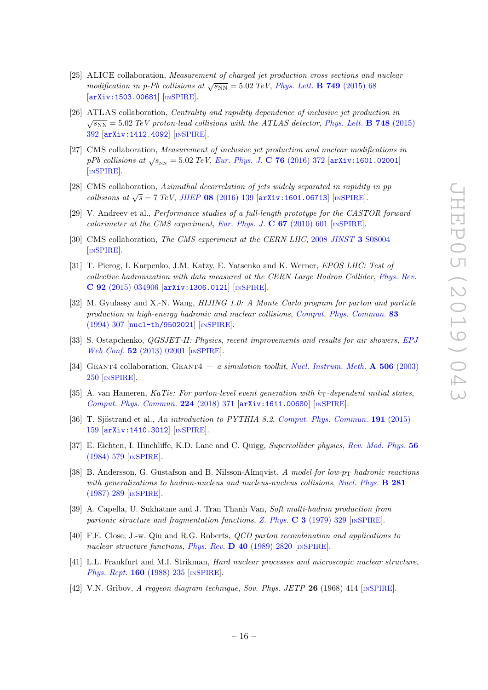- <span id="page-16-0"></span>[25] ALICE collaboration, Measurement of charged jet production cross sections and nuclear modification in p-Pb collisions at  $\sqrt{s_{NN}} = 5.02$  TeV, [Phys. Lett.](https://doi.org/10.1016/j.physletb.2015.07.054) **B 749** (2015) 68 [[arXiv:1503.00681](https://arxiv.org/abs/1503.00681)] [IN[SPIRE](https://inspirehep.net/search?p=find+EPRINT+arXiv:1503.00681)].
- [26] ATLAS collaboration, Centrality and rapidity dependence of inclusive jet production in  $\sqrt{s_{NN}} = 5.02 \text{ TeV}$  proton-lead collisions with the ATLAS detector, [Phys. Lett.](https://doi.org/10.1016/j.physletb.2015.07.023) **B 748** (2015) [392](https://doi.org/10.1016/j.physletb.2015.07.023) [[arXiv:1412.4092](https://arxiv.org/abs/1412.4092)] [IN[SPIRE](https://inspirehep.net/search?p=find+EPRINT+arXiv:1412.4092)].
- <span id="page-16-1"></span>[27] CMS collaboration, Measurement of inclusive jet production and nuclear modifications in pPb collisions at  $\sqrt{s_{\rm NN}} = 5.02$  TeV, [Eur. Phys. J.](https://doi.org/10.1140/epjc/s10052-016-4205-7) C 76 (2016) 372 [[arXiv:1601.02001](https://arxiv.org/abs/1601.02001)] [IN[SPIRE](https://inspirehep.net/search?p=find+EPRINT+arXiv:1601.02001)].
- <span id="page-16-2"></span>[28] CMS collaboration, Azimuthal decorrelation of jets widely separated in rapidity in pp collisions at  $\sqrt{s} = 7$  TeV, JHEP 08 [\(2016\) 139](https://doi.org/10.1007/JHEP08(2016)139) [[arXiv:1601.06713](https://arxiv.org/abs/1601.06713)] [IN[SPIRE](https://inspirehep.net/search?p=find+EPRINT+arXiv:1601.06713)].
- <span id="page-16-3"></span>[29] V. Andreev et al., *Performance studies of a full-length prototype for the CASTOR forward* calorimeter at the CMS experiment, [Eur. Phys. J.](https://doi.org/10.1140/epjc/s10052-010-1316-4)  $\bf{C}$  67 (2010) 601 [IN[SPIRE](https://inspirehep.net/search?p=find+J+%22Eur.Phys.J.,C67,601%22)].
- <span id="page-16-4"></span>[30] CMS collaboration, The CMS experiment at the CERN LHC, 2008 JINST 3 [S08004](https://doi.org/10.1088/1748-0221/3/08/S08004) [IN[SPIRE](https://inspirehep.net/search?p=find+J+%22JINST,3,S08004%22)].
- <span id="page-16-5"></span>[31] T. Pierog, I. Karpenko, J.M. Katzy, E. Yatsenko and K. Werner, EPOS LHC: Test of collective hadronization with data measured at the CERN Large Hadron Collider, [Phys. Rev.](https://doi.org/10.1103/PhysRevC.92.034906) C 92 [\(2015\) 034906](https://doi.org/10.1103/PhysRevC.92.034906) [[arXiv:1306.0121](https://arxiv.org/abs/1306.0121)] [IN[SPIRE](https://inspirehep.net/search?p=find+EPRINT+arXiv:1306.0121)].
- <span id="page-16-6"></span>[32] M. Gyulassy and X.-N. Wang, HIJING 1.0: A Monte Carlo program for parton and particle production in high-energy hadronic and nuclear collisions, [Comput. Phys. Commun.](https://doi.org/10.1016/0010-4655(94)90057-4) 83 [\(1994\) 307](https://doi.org/10.1016/0010-4655(94)90057-4) [[nucl-th/9502021](https://arxiv.org/abs/nucl-th/9502021)] [IN[SPIRE](https://inspirehep.net/search?p=find+EPRINT+nucl-th/9502021)].
- <span id="page-16-7"></span>[33] S. Ostapchenko, *QGSJET-II: Physics, recent improvements and results for air showers, [EPJ](https://doi.org/10.1051/epjconf/20125202001)* Web Conf. **52** [\(2013\) 02001](https://doi.org/10.1051/epjconf/20125202001) [IN[SPIRE](https://inspirehep.net/search?p=find+J+%22EPJ%20Web%20Conf.,52,02001%22)].
- <span id="page-16-8"></span>[34] GEANT4 collaboration, GEANT4 — a simulation toolkit, [Nucl. Instrum. Meth.](https://doi.org/10.1016/S0168-9002(03)01368-8) A 506 (2003) [250](https://doi.org/10.1016/S0168-9002(03)01368-8) [IN[SPIRE](https://inspirehep.net/search?p=find+J+%22Nucl.Instrum.Meth.,A506,250%22)].
- <span id="page-16-9"></span>[35] A. van Hameren,  $KaTie: For parton-level event generation with  $k_T$ -dependent initial states,$ [Comput. Phys. Commun.](https://doi.org/10.1016/j.cpc.2017.11.005) 224 (2018) 371 [[arXiv:1611.00680](https://arxiv.org/abs/1611.00680)] [IN[SPIRE](https://inspirehep.net/search?p=find+EPRINT+arXiv:1611.00680)].
- <span id="page-16-10"></span>[36] T. Sjöstrand et al., An introduction to PYTHIA 8.2, [Comput. Phys. Commun.](https://doi.org/10.1016/j.cpc.2015.01.024) 191 (2015) [159](https://doi.org/10.1016/j.cpc.2015.01.024) [[arXiv:1410.3012](https://arxiv.org/abs/1410.3012)] [IN[SPIRE](https://inspirehep.net/search?p=find+EPRINT+arXiv:1410.3012)].
- <span id="page-16-11"></span>[37] E. Eichten, I. Hinchliffe, K.D. Lane and C. Quigg, Supercollider physics, [Rev. Mod. Phys.](https://doi.org/10.1103/RevModPhys.56.579) 56 [\(1984\) 579](https://doi.org/10.1103/RevModPhys.56.579) [IN[SPIRE](https://inspirehep.net/search?p=find+J+%22Rev.Mod.Phys.,56,579%22)].
- <span id="page-16-12"></span>[38] B. Andersson, G. Gustafson and B. Nilsson-Almqvist, A model for low- $p_T$  hadronic reactions with generalizations to hadron-nucleus and nucleus-nucleus collisions, [Nucl. Phys.](https://doi.org/10.1016/0550-3213(87)90257-4) **B** 281 [\(1987\) 289](https://doi.org/10.1016/0550-3213(87)90257-4) [IN[SPIRE](https://inspirehep.net/search?p=find+J+%22Nucl.Phys.,B281,289%22)].
- <span id="page-16-13"></span>[39] A. Capella, U. Sukhatme and J. Tran Thanh Van, Soft multi-hadron production from partonic structure and fragmentation functions, Z. Phys.  $C$  3 [\(1979\) 329](https://doi.org/10.1007/BF01414185) [IN[SPIRE](https://inspirehep.net/search?p=find+J+%22Z.Physik,C3,329%22)].
- <span id="page-16-14"></span>[40] F.E. Close, J.-w. Qiu and R.G. Roberts, QCD parton recombination and applications to nuclear structure functions, Phys. Rev.  $\bf{D}$  40 [\(1989\) 2820](https://doi.org/10.1103/PhysRevD.40.2820) [IN[SPIRE](https://inspirehep.net/search?p=find+J+%22Phys.Rev.,D40,2820%22)].
- <span id="page-16-15"></span>[41] L.L. Frankfurt and M.I. Strikman, Hard nuclear processes and microscopic nuclear structure, [Phys. Rept.](https://doi.org/10.1016/0370-1573(88)90179-2) **160** (1988) 235 [IN[SPIRE](https://inspirehep.net/search?p=find+J+%22Phys.Rept.,160,235%22)].
- <span id="page-16-16"></span>[42] V.N. Gribov, A reggeon diagram technique, Sov. Phys. JETP 26 (1968) 414 [IN[SPIRE](https://inspirehep.net/search?p=find+J+%22Sov.Phys.JETP,26,414%22)].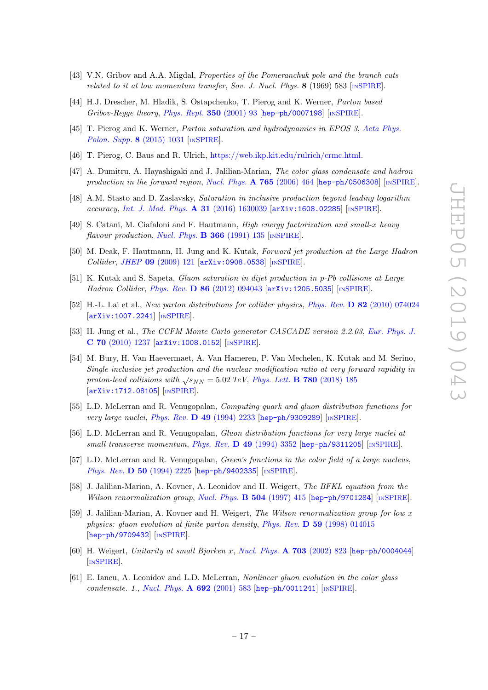- <span id="page-17-0"></span>[43] V.N. Gribov and A.A. Migdal, Properties of the Pomeranchuk pole and the branch cuts related to it at low momentum transfer, Sov. J. Nucl. Phys. 8 (1969) 583 [IN[SPIRE](https://inspirehep.net/search?p=find+J+%22Sov.J.Nucl.Phys.,8,583%22)].
- <span id="page-17-1"></span>[44] H.J. Drescher, M. Hladik, S. Ostapchenko, T. Pierog and K. Werner, Parton based  $Gribov-Reage\ theory$ ,  $Phys.$   $Rept.$  350 (2001) 93  $[hep-ph/0007198]$  $[hep-ph/0007198]$  $[hep-ph/0007198]$   $[INSPIRE]$  $[INSPIRE]$  $[INSPIRE]$ .
- <span id="page-17-2"></span>[45] T. Pierog and K. Werner, Parton saturation and hydrodynamics in EPOS 3, [Acta Phys.](https://doi.org/10.5506/APhysPolBSupp.8.1031) [Polon. Supp.](https://doi.org/10.5506/APhysPolBSupp.8.1031) 8 (2015) 1031 [IN[SPIRE](https://inspirehep.net/search?p=find+%22Phys.Polon.Supp.,8,1031%22)].
- <span id="page-17-3"></span>[46] T. Pierog, C. Baus and R. Ulrich, [https://web.ikp.kit.edu/rulrich/crmc.html.](https://web.ikp.kit.edu/rulrich/crmc.html)
- <span id="page-17-4"></span>[47] A. Dumitru, A. Hayashigaki and J. Jalilian-Marian, The color glass condensate and hadron production in the forward region, [Nucl. Phys.](https://doi.org/10.1016/j.nuclphysa.2005.11.014)  $\bf{A}$  765 (2006) 464 [[hep-ph/0506308](https://arxiv.org/abs/hep-ph/0506308)] [IN[SPIRE](https://inspirehep.net/search?p=find+EPRINT+hep-ph/0506308)].
- [48] A.M. Stasto and D. Zaslavsky, Saturation in inclusive production beyond leading logarithm accuracy, [Int. J. Mod. Phys.](https://doi.org/10.1142/S0217751X16300398)  $\bf{A} 31$  (2016) 1630039  $\bf{arXiv:1608.02285}$  $\bf{arXiv:1608.02285}$  $\bf{arXiv:1608.02285}$  [IN[SPIRE](https://inspirehep.net/search?p=find+EPRINT+arXiv:1608.02285)].
- [49] S. Catani, M. Ciafaloni and F. Hautmann, High energy factorization and small-x heavy flavour production, [Nucl. Phys.](https://doi.org/10.1016/0550-3213(91)90055-3)  $\bf{B}$  366 (1991) 135 [IN[SPIRE](https://inspirehep.net/search?p=find+J+%22Nucl.Phys.,B366,135%22)].
- <span id="page-17-5"></span>[50] M. Deak, F. Hautmann, H. Jung and K. Kutak, Forward jet production at the Large Hadron Collider, JHEP 09 [\(2009\) 121](https://doi.org/10.1088/1126-6708/2009/09/121) [[arXiv:0908.0538](https://arxiv.org/abs/0908.0538)] [IN[SPIRE](https://inspirehep.net/search?p=find+EPRINT+arXiv:0908.0538)].
- <span id="page-17-6"></span>[51] K. Kutak and S. Sapeta, Gluon saturation in dijet production in p-Pb collisions at Large Hadron Collider, Phys. Rev. D 86 [\(2012\) 094043](https://doi.org/10.1103/PhysRevD.86.094043)  $\vert$ [arXiv:1205.5035](https://arxiv.org/abs/1205.5035)  $\vert$  [IN[SPIRE](https://inspirehep.net/search?p=find+EPRINT+arXiv:1205.5035)].
- <span id="page-17-7"></span>[52] H.-L. Lai et al., New parton distributions for collider physics, Phys. Rev. D 82 [\(2010\) 074024](https://doi.org/10.1103/PhysRevD.82.074024) [[arXiv:1007.2241](https://arxiv.org/abs/1007.2241)] [IN[SPIRE](https://inspirehep.net/search?p=find+EPRINT+arXiv:1007.2241)].
- <span id="page-17-8"></span>[53] H. Jung et al., The CCFM Monte Carlo generator CASCADE version 2.2.03, [Eur. Phys. J.](https://doi.org/10.1140/epjc/s10052-010-1507-z) C 70 [\(2010\) 1237](https://doi.org/10.1140/epjc/s10052-010-1507-z) [[arXiv:1008.0152](https://arxiv.org/abs/1008.0152)] [IN[SPIRE](https://inspirehep.net/search?p=find+EPRINT+arXiv:1008.0152)].
- <span id="page-17-9"></span>[54] M. Bury, H. Van Haevermaet, A. Van Hameren, P. Van Mechelen, K. Kutak and M. Serino, Single inclusive jet production and the nuclear modification ratio at very forward rapidity in proton-lead collisions with  $\sqrt{s_{NN}} = 5.02 \text{ TeV}$ , [Phys. Lett.](https://doi.org/10.1016/j.physletb.2018.03.007) **B 780** (2018) 185 [[arXiv:1712.08105](https://arxiv.org/abs/1712.08105)] [IN[SPIRE](https://inspirehep.net/search?p=find+EPRINT+arXiv:1712.08105)].
- <span id="page-17-10"></span>[55] L.D. McLerran and R. Venugopalan, Computing quark and gluon distribution functions for very large nuclei, Phys. Rev.  $D$  49 [\(1994\) 2233](https://doi.org/10.1103/PhysRevD.49.2233) [[hep-ph/9309289](https://arxiv.org/abs/hep-ph/9309289)] [IN[SPIRE](https://inspirehep.net/search?p=find+EPRINT+hep-ph/9309289)].
- [56] L.D. McLerran and R. Venugopalan, Gluon distribution functions for very large nuclei at small transverse momentum, Phys. Rev.  $\bf{D}$  49 [\(1994\) 3352](https://doi.org/10.1103/PhysRevD.49.3352) [[hep-ph/9311205](https://arxiv.org/abs/hep-ph/9311205)] [IN[SPIRE](https://inspirehep.net/search?p=find+EPRINT+hep-ph/9311205)].
- <span id="page-17-11"></span>[57] L.D. McLerran and R. Venugopalan, *Green's functions in the color field of a large nucleus*, Phys. Rev. **D 50** [\(1994\) 2225](https://doi.org/10.1103/PhysRevD.50.2225) [[hep-ph/9402335](https://arxiv.org/abs/hep-ph/9402335)] [IN[SPIRE](https://inspirehep.net/search?p=find+EPRINT+hep-ph/9402335)].
- <span id="page-17-12"></span>[58] J. Jalilian-Marian, A. Kovner, A. Leonidov and H. Weigert, The BFKL equation from the Wilson renormalization group, [Nucl. Phys.](https://doi.org/10.1016/S0550-3213(97)00440-9) B 504 (1997) 415 [[hep-ph/9701284](https://arxiv.org/abs/hep-ph/9701284)] [IN[SPIRE](https://inspirehep.net/search?p=find+EPRINT+hep-ph/9701284)].
- [59] J. Jalilian-Marian, A. Kovner and H. Weigert, The Wilson renormalization group for low x physics: gluon evolution at finite parton density, Phys. Rev. D 59 [\(1998\) 014015](https://doi.org/10.1103/PhysRevD.59.014015) [[hep-ph/9709432](https://arxiv.org/abs/hep-ph/9709432)] [IN[SPIRE](https://inspirehep.net/search?p=find+EPRINT+hep-ph/9709432)].
- [60] H. Weigert, Unitarity at small Bjorken x, [Nucl. Phys.](https://doi.org/10.1016/S0375-9474(01)01668-2) A 703 (2002) 823 [[hep-ph/0004044](https://arxiv.org/abs/hep-ph/0004044)] [IN[SPIRE](https://inspirehep.net/search?p=find+EPRINT+hep-ph/0004044)].
- [61] E. Iancu, A. Leonidov and L.D. McLerran, Nonlinear gluon evolution in the color glass condensate. 1., [Nucl. Phys.](https://doi.org/10.1016/S0375-9474(01)00642-X)  $\bf{A} 692$  (2001) 583 [[hep-ph/0011241](https://arxiv.org/abs/hep-ph/0011241)] [IN[SPIRE](https://inspirehep.net/search?p=find+EPRINT+hep-ph/0011241)].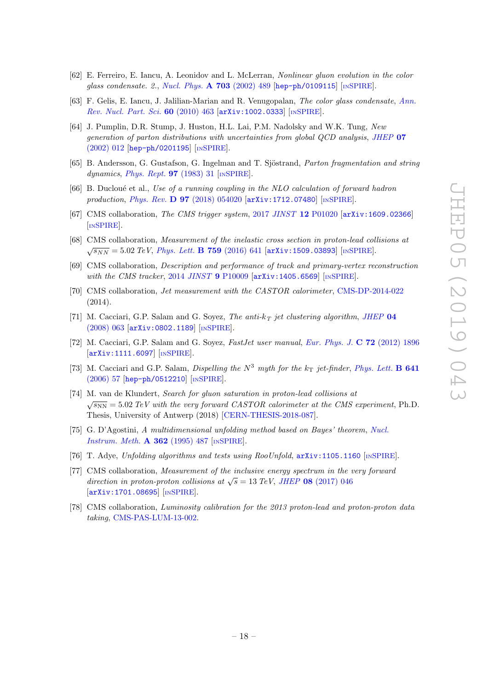- [62] E. Ferreiro, E. Iancu, A. Leonidov and L. McLerran, Nonlinear gluon evolution in the color glass condensate. 2., [Nucl. Phys.](https://doi.org/10.1016/S0375-9474(01)01329-X)  $\bf{A}$  703 (2002) 489 [[hep-ph/0109115](https://arxiv.org/abs/hep-ph/0109115)] [IN[SPIRE](https://inspirehep.net/search?p=find+EPRINT+hep-ph/0109115)].
- <span id="page-18-0"></span>[63] F. Gelis, E. Iancu, J. Jalilian-Marian and R. Venugopalan, The color glass condensate, [Ann.](https://doi.org/10.1146/annurev.nucl.010909.083629) [Rev. Nucl. Part. Sci.](https://doi.org/10.1146/annurev.nucl.010909.083629) 60 (2010) 463 [[arXiv:1002.0333](https://arxiv.org/abs/1002.0333)] [IN[SPIRE](https://inspirehep.net/search?p=find+EPRINT+arXiv:1002.0333)].
- <span id="page-18-1"></span>[64] J. Pumplin, D.R. Stump, J. Huston, H.L. Lai, P.M. Nadolsky and W.K. Tung, New generation of parton distributions with uncertainties from global QCD analysis, [JHEP](https://doi.org/10.1088/1126-6708/2002/07/012) 07 [\(2002\) 012](https://doi.org/10.1088/1126-6708/2002/07/012) [[hep-ph/0201195](https://arxiv.org/abs/hep-ph/0201195)] [IN[SPIRE](https://inspirehep.net/search?p=find+EPRINT+hep-ph/0201195)].
- <span id="page-18-2"></span>[65] B. Andersson, G. Gustafson, G. Ingelman and T. Sjöstrand, Parton fragmentation and string dynamics, [Phys. Rept.](https://doi.org/10.1016/0370-1573(83)90080-7)  $97$  (1983) 31 [IN[SPIRE](https://inspirehep.net/search?p=find+J+%22Phys.Rept.,97,31%22)].
- <span id="page-18-3"></span>[66] B. Ducloué et al., Use of a running coupling in the NLO calculation of forward hadron production, *Phys. Rev.* **D 97** [\(2018\) 054020](https://doi.org/10.1103/PhysRevD.97.054020) [[arXiv:1712.07480](https://arxiv.org/abs/1712.07480)] [IN[SPIRE](https://inspirehep.net/search?p=find+EPRINT+arXiv:1712.07480)].
- <span id="page-18-4"></span>[67] CMS collaboration, The CMS trigger system, 2017 JINST 12 [P01020](https://doi.org/10.1088/1748-0221/12/01/P01020) [[arXiv:1609.02366](https://arxiv.org/abs/1609.02366)] [IN[SPIRE](https://inspirehep.net/search?p=find+EPRINT+arXiv:1609.02366)].
- <span id="page-18-5"></span>[68] CMS collaboration, Measurement of the inelastic cross section in proton-lead collisions at  $\sqrt{s_{NN}} = 5.02 \text{ TeV}$ , *[Phys. Lett.](https://doi.org/10.1016/j.physletb.2016.06.027)* **B** 759 (2016) 641 [[arXiv:1509.03893](https://arxiv.org/abs/1509.03893)] [IN[SPIRE](https://inspirehep.net/search?p=find+EPRINT+arXiv:1509.03893)].
- <span id="page-18-6"></span>[69] CMS collaboration, Description and performance of track and primary-vertex reconstruction with the CMS tracker,  $2014$  JINST 9 [P10009](https://doi.org/10.1088/1748-0221/9/10/P10009)  $arXiv:1405.6569$  [IN[SPIRE](https://inspirehep.net/search?p=find+EPRINT+arXiv:1405.6569)].
- <span id="page-18-7"></span>[70] CMS collaboration, Jet measurement with the CASTOR calorimeter, [CMS-DP-2014-022](http://cds.cern.ch/record/1968147) (2014).
- <span id="page-18-8"></span>[71] M. Cacciari, G.P. Salam and G. Soyez, The anti- $k_T$  jet clustering algorithm, [JHEP](https://doi.org/10.1088/1126-6708/2008/04/063) 04 [\(2008\) 063](https://doi.org/10.1088/1126-6708/2008/04/063) [[arXiv:0802.1189](https://arxiv.org/abs/0802.1189)] [IN[SPIRE](https://inspirehep.net/search?p=find+EPRINT+arXiv:0802.1189)].
- [72] M. Cacciari, G.P. Salam and G. Soyez, FastJet user manual, [Eur. Phys. J.](https://doi.org/10.1140/epjc/s10052-012-1896-2) C 72 (2012) 1896 [[arXiv:1111.6097](https://arxiv.org/abs/1111.6097)] [IN[SPIRE](https://inspirehep.net/search?p=find+EPRINT+arXiv:1111.6097)].
- <span id="page-18-9"></span>[73] M. Cacciari and G.P. Salam, *Dispelling the*  $N^3$  myth for the  $k_T$  jet-finder, *[Phys. Lett.](https://doi.org/10.1016/j.physletb.2006.08.037)* **B 641** [\(2006\) 57](https://doi.org/10.1016/j.physletb.2006.08.037) [[hep-ph/0512210](https://arxiv.org/abs/hep-ph/0512210)] [IN[SPIRE](https://inspirehep.net/search?p=find+EPRINT+hep-ph/0512210)].
- <span id="page-18-10"></span>[74] M. van de Klundert, Search for gluon saturation in proton-lead collisions at  $\sqrt{s_{NN}} = 5.02 \text{ TeV}$  with the very forward CASTOR calorimeter at the CMS experiment, Ph.D. Thesis, University of Antwerp (2018) [\[CERN-THESIS-2018-087\]](https://cds.cern.ch/record/2629854).
- <span id="page-18-11"></span>[75] G. D'Agostini, A multidimensional unfolding method based on Bayes' theorem, [Nucl.](https://doi.org/10.1016/0168-9002(95)00274-X) [Instrum. Meth.](https://doi.org/10.1016/0168-9002(95)00274-X) **A 362** (1995) 487 [IN[SPIRE](https://inspirehep.net/search?p=find+J+%22Nucl.Instrum.Meth.,A362,487%22)].
- <span id="page-18-12"></span>[76] T. Adye, Unfolding algorithms and tests using RooUnfold, [arXiv:1105.1160](https://arxiv.org/abs/1105.1160) [IN[SPIRE](https://inspirehep.net/search?p=find+EPRINT+arXiv:1105.1160)].
- <span id="page-18-13"></span>[77] CMS collaboration, Measurement of the inclusive energy spectrum in the very forward  $\alpha$  direction in proton-proton collisions at  $\sqrt{s} = 13 \text{ TeV}$ , JHEP 08 [\(2017\) 046](https://doi.org/10.1007/JHEP08(2017)046) [[arXiv:1701.08695](https://arxiv.org/abs/1701.08695)] [IN[SPIRE](https://inspirehep.net/search?p=find+EPRINT+arXiv:1701.08695)].
- <span id="page-18-14"></span>[78] CMS collaboration, Luminosity calibration for the 2013 proton-lead and proton-proton data taking, [CMS-PAS-LUM-13-002.](http://cds.cern.ch/record/1643269)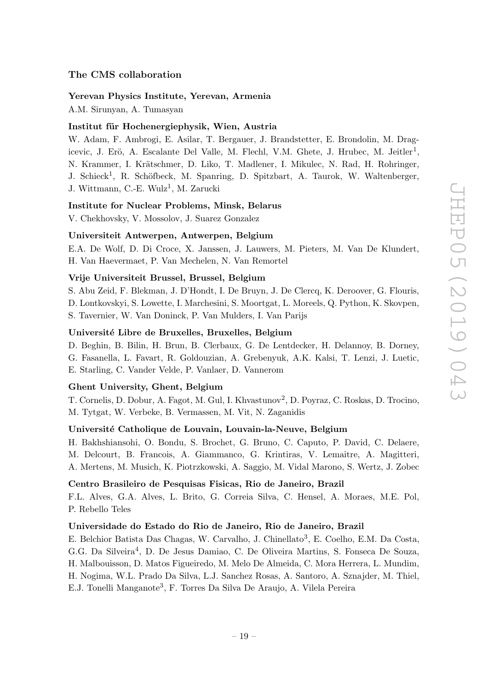# The CMS collaboration

### <span id="page-19-0"></span>Yerevan Physics Institute, Yerevan, Armenia

A.M. Sirunyan, A. Tumasyan

#### Institut für Hochenergiephysik, Wien, Austria

W. Adam, F. Ambrogi, E. Asilar, T. Bergauer, J. Brandstetter, E. Brondolin, M. Dragicevic, J. Erö, A. Escalante Del Valle, M. Flechl, V.M. Ghete, J. Hrubec, M. Jeitler<sup>1</sup>, N. Krammer, I. Krätschmer, D. Liko, T. Madlener, I. Mikulec, N. Rad, H. Rohringer, J. Schieck<sup>1</sup>, R. Schöfbeck, M. Spanring, D. Spitzbart, A. Taurok, W. Waltenberger, J. Wittmann, C.-E. Wulz<sup>1</sup>, M. Zarucki

# Institute for Nuclear Problems, Minsk, Belarus

V. Chekhovsky, V. Mossolov, J. Suarez Gonzalez

### Universiteit Antwerpen, Antwerpen, Belgium

E.A. De Wolf, D. Di Croce, X. Janssen, J. Lauwers, M. Pieters, M. Van De Klundert, H. Van Haevermaet, P. Van Mechelen, N. Van Remortel

#### Vrije Universiteit Brussel, Brussel, Belgium

S. Abu Zeid, F. Blekman, J. D'Hondt, I. De Bruyn, J. De Clercq, K. Deroover, G. Flouris, D. Lontkovskyi, S. Lowette, I. Marchesini, S. Moortgat, L. Moreels, Q. Python, K. Skovpen, S. Tavernier, W. Van Doninck, P. Van Mulders, I. Van Parijs

#### Universit´e Libre de Bruxelles, Bruxelles, Belgium

D. Beghin, B. Bilin, H. Brun, B. Clerbaux, G. De Lentdecker, H. Delannoy, B. Dorney, G. Fasanella, L. Favart, R. Goldouzian, A. Grebenyuk, A.K. Kalsi, T. Lenzi, J. Luetic, E. Starling, C. Vander Velde, P. Vanlaer, D. Vannerom

#### Ghent University, Ghent, Belgium

T. Cornelis, D. Dobur, A. Fagot, M. Gul, I. Khvastunov<sup>2</sup>, D. Poyraz, C. Roskas, D. Trocino, M. Tytgat, W. Verbeke, B. Vermassen, M. Vit, N. Zaganidis

#### Université Catholique de Louvain, Louvain-la-Neuve, Belgium

H. Bakhshiansohi, O. Bondu, S. Brochet, G. Bruno, C. Caputo, P. David, C. Delaere, M. Delcourt, B. Francois, A. Giammanco, G. Krintiras, V. Lemaitre, A. Magitteri, A. Mertens, M. Musich, K. Piotrzkowski, A. Saggio, M. Vidal Marono, S. Wertz, J. Zobec

#### Centro Brasileiro de Pesquisas Fisicas, Rio de Janeiro, Brazil

F.L. Alves, G.A. Alves, L. Brito, G. Correia Silva, C. Hensel, A. Moraes, M.E. Pol, P. Rebello Teles

# Universidade do Estado do Rio de Janeiro, Rio de Janeiro, Brazil

E. Belchior Batista Das Chagas, W. Carvalho, J. Chinellato<sup>3</sup>, E. Coelho, E.M. Da Costa, G.G. Da Silveira<sup>4</sup>, D. De Jesus Damiao, C. De Oliveira Martins, S. Fonseca De Souza, H. Malbouisson, D. Matos Figueiredo, M. Melo De Almeida, C. Mora Herrera, L. Mundim, H. Nogima, W.L. Prado Da Silva, L.J. Sanchez Rosas, A. Santoro, A. Sznajder, M. Thiel, E.J. Tonelli Manganote<sup>3</sup>, F. Torres Da Silva De Araujo, A. Vilela Pereira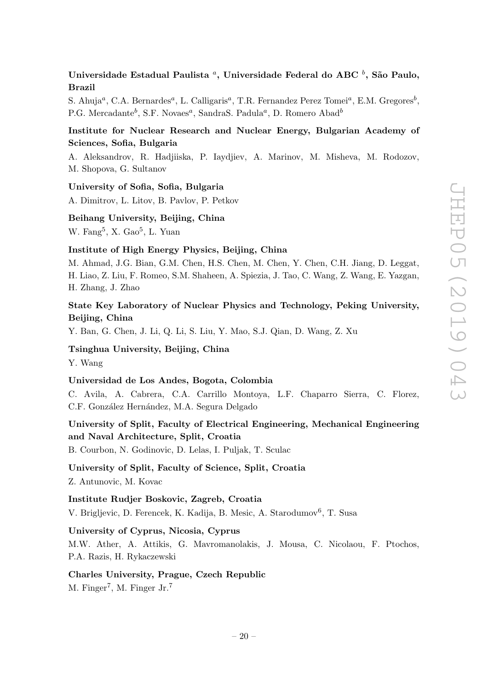# Universidade Estadual Paulista <sup>a</sup>, Universidade Federal do ABC  $^b$ , São Paulo, Brazil

S. Ahuja<sup>a</sup>, C.A. Bernardes<sup>a</sup>, L. Calligaris<sup>a</sup>, T.R. Fernandez Perez Tomei<sup>a</sup>, E.M. Gregores<sup>b</sup>, P.G. Mercadante<sup>b</sup>, S.F. Novaes<sup>a</sup>, SandraS. Padula<sup>a</sup>, D. Romero Abad<sup>b</sup>

# Institute for Nuclear Research and Nuclear Energy, Bulgarian Academy of Sciences, Sofia, Bulgaria

A. Aleksandrov, R. Hadjiiska, P. Iaydjiev, A. Marinov, M. Misheva, M. Rodozov, M. Shopova, G. Sultanov

### University of Sofia, Sofia, Bulgaria

A. Dimitrov, L. Litov, B. Pavlov, P. Petkov

# Beihang University, Beijing, China

W. Fang<sup>5</sup>, X. Gao<sup>5</sup>, L. Yuan

# Institute of High Energy Physics, Beijing, China

M. Ahmad, J.G. Bian, G.M. Chen, H.S. Chen, M. Chen, Y. Chen, C.H. Jiang, D. Leggat, H. Liao, Z. Liu, F. Romeo, S.M. Shaheen, A. Spiezia, J. Tao, C. Wang, Z. Wang, E. Yazgan, H. Zhang, J. Zhao

# State Key Laboratory of Nuclear Physics and Technology, Peking University, Beijing, China

Y. Ban, G. Chen, J. Li, Q. Li, S. Liu, Y. Mao, S.J. Qian, D. Wang, Z. Xu

Tsinghua University, Beijing, China

Y. Wang

# Universidad de Los Andes, Bogota, Colombia

C. Avila, A. Cabrera, C.A. Carrillo Montoya, L.F. Chaparro Sierra, C. Florez, C.F. González Hernández, M.A. Segura Delgado

# University of Split, Faculty of Electrical Engineering, Mechanical Engineering and Naval Architecture, Split, Croatia

B. Courbon, N. Godinovic, D. Lelas, I. Puljak, T. Sculac

### University of Split, Faculty of Science, Split, Croatia

Z. Antunovic, M. Kovac

### Institute Rudjer Boskovic, Zagreb, Croatia

V. Brigljevic, D. Ferencek, K. Kadija, B. Mesic, A. Starodumov<sup>6</sup>, T. Susa

#### University of Cyprus, Nicosia, Cyprus

M.W. Ather, A. Attikis, G. Mavromanolakis, J. Mousa, C. Nicolaou, F. Ptochos, P.A. Razis, H. Rykaczewski

#### Charles University, Prague, Czech Republic

M. Finger<sup>7</sup>, M. Finger Jr.<sup>7</sup>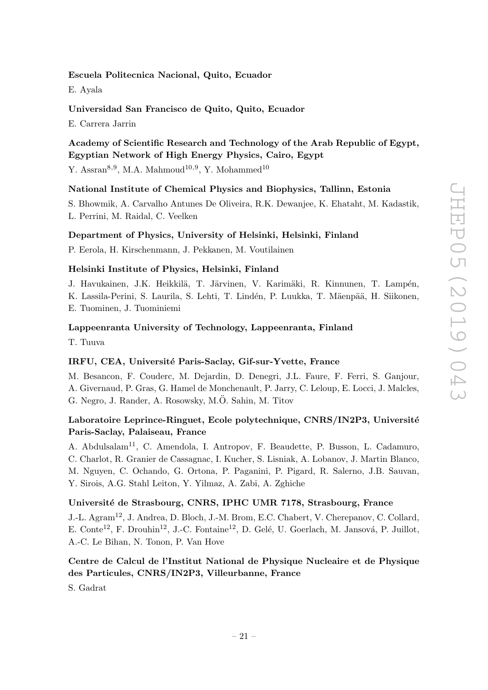# Escuela Politecnica Nacional, Quito, Ecuador

E. Ayala

### Universidad San Francisco de Quito, Quito, Ecuador

E. Carrera Jarrin

# Academy of Scientific Research and Technology of the Arab Republic of Egypt, Egyptian Network of High Energy Physics, Cairo, Egypt

Y. Assran<sup>8,9</sup>, M.A. Mahmoud<sup>10,9</sup>, Y. Mohammed<sup>10</sup>

### National Institute of Chemical Physics and Biophysics, Tallinn, Estonia

S. Bhowmik, A. Carvalho Antunes De Oliveira, R.K. Dewanjee, K. Ehataht, M. Kadastik, L. Perrini, M. Raidal, C. Veelken

#### Department of Physics, University of Helsinki, Helsinki, Finland

P. Eerola, H. Kirschenmann, J. Pekkanen, M. Voutilainen

# Helsinki Institute of Physics, Helsinki, Finland

J. Havukainen, J.K. Heikkilä, T. Järvinen, V. Karimäki, R. Kinnunen, T. Lampén, K. Lassila-Perini, S. Laurila, S. Lehti, T. Lindén, P. Luukka, T. Mäenpää, H. Siikonen, E. Tuominen, J. Tuominiemi

### Lappeenranta University of Technology, Lappeenranta, Finland

T. Tuuva

#### IRFU, CEA, Université Paris-Saclay, Gif-sur-Yvette, France

M. Besancon, F. Couderc, M. Dejardin, D. Denegri, J.L. Faure, F. Ferri, S. Ganjour, A. Givernaud, P. Gras, G. Hamel de Monchenault, P. Jarry, C. Leloup, E. Locci, J. Malcles, G. Negro, J. Rander, A. Rosowsky, M.Ö. Sahin, M. Titov

# Laboratoire Leprince-Ringuet, Ecole polytechnique, CNRS/IN2P3, Université Paris-Saclay, Palaiseau, France

A. Abdulsalam11, C. Amendola, I. Antropov, F. Beaudette, P. Busson, L. Cadamuro, C. Charlot, R. Granier de Cassagnac, I. Kucher, S. Lisniak, A. Lobanov, J. Martin Blanco, M. Nguyen, C. Ochando, G. Ortona, P. Paganini, P. Pigard, R. Salerno, J.B. Sauvan, Y. Sirois, A.G. Stahl Leiton, Y. Yilmaz, A. Zabi, A. Zghiche

#### Universit´e de Strasbourg, CNRS, IPHC UMR 7178, Strasbourg, France

J.-L. Agram<sup>12</sup>, J. Andrea, D. Bloch, J.-M. Brom, E.C. Chabert, V. Cherepanov, C. Collard, E. Conte<sup>12</sup>, F. Drouhin<sup>12</sup>, J.-C. Fontaine<sup>12</sup>, D. Gelé, U. Goerlach, M. Jansová, P. Juillot, A.-C. Le Bihan, N. Tonon, P. Van Hove

# Centre de Calcul de l'Institut National de Physique Nucleaire et de Physique des Particules, CNRS/IN2P3, Villeurbanne, France

S. Gadrat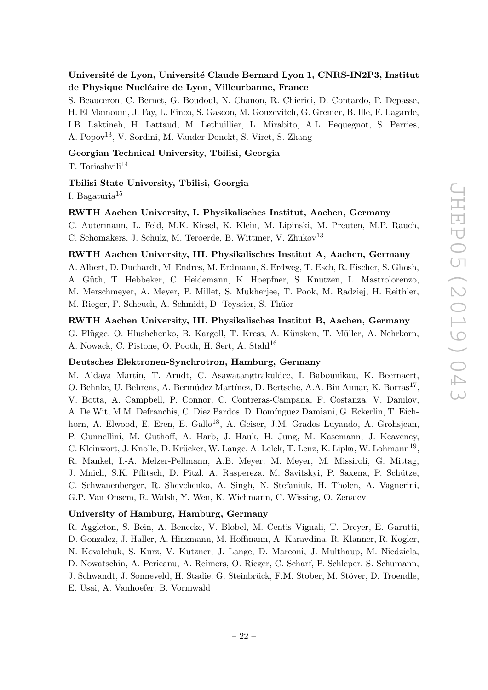# Université de Lyon, Université Claude Bernard Lyon 1, CNRS-IN2P3, Institut de Physique Nucléaire de Lyon, Villeurbanne, France

S. Beauceron, C. Bernet, G. Boudoul, N. Chanon, R. Chierici, D. Contardo, P. Depasse, H. El Mamouni, J. Fay, L. Finco, S. Gascon, M. Gouzevitch, G. Grenier, B. Ille, F. Lagarde, I.B. Laktineh, H. Lattaud, M. Lethuillier, L. Mirabito, A.L. Pequegnot, S. Perries, A. Popov<sup>13</sup>, V. Sordini, M. Vander Donckt, S. Viret, S. Zhang

# Georgian Technical University, Tbilisi, Georgia

T. Toriashvili $^{14}$ 

# Tbilisi State University, Tbilisi, Georgia

I. Bagaturia<sup>15</sup>

### RWTH Aachen University, I. Physikalisches Institut, Aachen, Germany

C. Autermann, L. Feld, M.K. Kiesel, K. Klein, M. Lipinski, M. Preuten, M.P. Rauch, C. Schomakers, J. Schulz, M. Teroerde, B. Wittmer, V. Zhukov<sup>13</sup>

# RWTH Aachen University, III. Physikalisches Institut A, Aachen, Germany

A. Albert, D. Duchardt, M. Endres, M. Erdmann, S. Erdweg, T. Esch, R. Fischer, S. Ghosh, A. G¨uth, T. Hebbeker, C. Heidemann, K. Hoepfner, S. Knutzen, L. Mastrolorenzo, M. Merschmeyer, A. Meyer, P. Millet, S. Mukherjee, T. Pook, M. Radziej, H. Reithler, M. Rieger, F. Scheuch, A. Schmidt, D. Teyssier, S. Thüer

# RWTH Aachen University, III. Physikalisches Institut B, Aachen, Germany

G. Flügge, O. Hlushchenko, B. Kargoll, T. Kress, A. Künsken, T. Müller, A. Nehrkorn, A. Nowack, C. Pistone, O. Pooth, H. Sert, A. Stahl<sup>16</sup>

# Deutsches Elektronen-Synchrotron, Hamburg, Germany

M. Aldaya Martin, T. Arndt, C. Asawatangtrakuldee, I. Babounikau, K. Beernaert, O. Behnke, U. Behrens, A. Bermúdez Martínez, D. Bertsche, A.A. Bin Anuar, K. Borras<sup>17</sup>, V. Botta, A. Campbell, P. Connor, C. Contreras-Campana, F. Costanza, V. Danilov, A. De Wit, M.M. Defranchis, C. Diez Pardos, D. Dom´ınguez Damiani, G. Eckerlin, T. Eichhorn, A. Elwood, E. Eren, E. Gallo<sup>18</sup>, A. Geiser, J.M. Grados Luyando, A. Grohsjean, P. Gunnellini, M. Guthoff, A. Harb, J. Hauk, H. Jung, M. Kasemann, J. Keaveney, C. Kleinwort, J. Knolle, D. Krücker, W. Lange, A. Lelek, T. Lenz, K. Lipka, W. Lohmann<sup>19</sup>, R. Mankel, I.-A. Melzer-Pellmann, A.B. Meyer, M. Meyer, M. Missiroli, G. Mittag, J. Mnich, S.K. Pflitsch, D. Pitzl, A. Raspereza, M. Savitskyi, P. Saxena, P. Schütze, C. Schwanenberger, R. Shevchenko, A. Singh, N. Stefaniuk, H. Tholen, A. Vagnerini, G.P. Van Onsem, R. Walsh, Y. Wen, K. Wichmann, C. Wissing, O. Zenaiev

### University of Hamburg, Hamburg, Germany

R. Aggleton, S. Bein, A. Benecke, V. Blobel, M. Centis Vignali, T. Dreyer, E. Garutti, D. Gonzalez, J. Haller, A. Hinzmann, M. Hoffmann, A. Karavdina, R. Klanner, R. Kogler, N. Kovalchuk, S. Kurz, V. Kutzner, J. Lange, D. Marconi, J. Multhaup, M. Niedziela, D. Nowatschin, A. Perieanu, A. Reimers, O. Rieger, C. Scharf, P. Schleper, S. Schumann, J. Schwandt, J. Sonneveld, H. Stadie, G. Steinbrück, F.M. Stober, M. Stöver, D. Troendle, E. Usai, A. Vanhoefer, B. Vormwald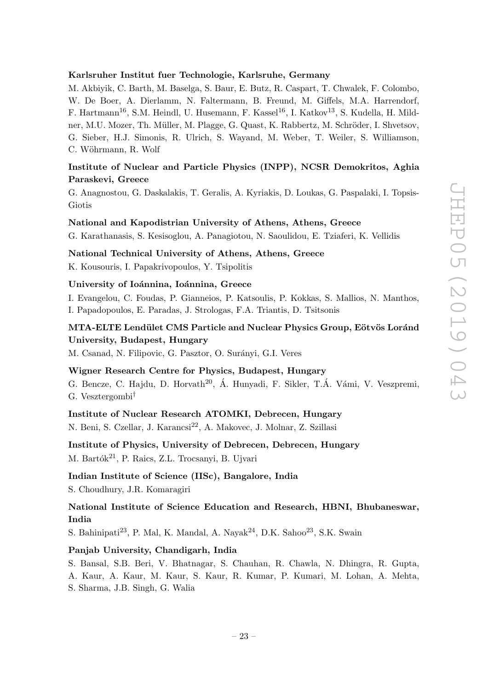### Karlsruher Institut fuer Technologie, Karlsruhe, Germany

M. Akbiyik, C. Barth, M. Baselga, S. Baur, E. Butz, R. Caspart, T. Chwalek, F. Colombo, W. De Boer, A. Dierlamm, N. Faltermann, B. Freund, M. Giffels, M.A. Harrendorf, F. Hartmann<sup>16</sup>, S.M. Heindl, U. Husemann, F. Kassel<sup>16</sup>, I. Katkov<sup>13</sup>, S. Kudella, H. Mildner, M.U. Mozer, Th. Müller, M. Plagge, G. Quast, K. Rabbertz, M. Schröder, I. Shvetsov, G. Sieber, H.J. Simonis, R. Ulrich, S. Wayand, M. Weber, T. Weiler, S. Williamson, C. Wöhrmann, R. Wolf

# Institute of Nuclear and Particle Physics (INPP), NCSR Demokritos, Aghia Paraskevi, Greece

G. Anagnostou, G. Daskalakis, T. Geralis, A. Kyriakis, D. Loukas, G. Paspalaki, I. Topsis-Giotis

### National and Kapodistrian University of Athens, Athens, Greece

G. Karathanasis, S. Kesisoglou, A. Panagiotou, N. Saoulidou, E. Tziaferi, K. Vellidis

National Technical University of Athens, Athens, Greece

K. Kousouris, I. Papakrivopoulos, Y. Tsipolitis

#### University of Ioánnina, Ioánnina, Greece

I. Evangelou, C. Foudas, P. Gianneios, P. Katsoulis, P. Kokkas, S. Mallios, N. Manthos, I. Papadopoulos, E. Paradas, J. Strologas, F.A. Triantis, D. Tsitsonis

# MTA-ELTE Lendület CMS Particle and Nuclear Physics Group, Eötvös Loránd University, Budapest, Hungary

M. Csanad, N. Filipovic, G. Pasztor, O. Surányi, G.I. Veres

# Wigner Research Centre for Physics, Budapest, Hungary

G. Bencze, C. Hajdu, D. Horvath<sup>20</sup>, Á. Hunyadi, F. Sikler, T.Á. Vámi, V. Veszpremi, G. Vesztergombi†

#### Institute of Nuclear Research ATOMKI, Debrecen, Hungary

N. Beni, S. Czellar, J. Karancsi<sup>22</sup>, A. Makovec, J. Molnar, Z. Szillasi

# Institute of Physics, University of Debrecen, Debrecen, Hungary

M. Bartók<sup>21</sup>, P. Raics, Z.L. Trocsanyi, B. Ujvari

### Indian Institute of Science (IISc), Bangalore, India

S. Choudhury, J.R. Komaragiri

# National Institute of Science Education and Research, HBNI, Bhubaneswar, India

S. Bahinipati<sup>23</sup>, P. Mal, K. Mandal, A. Nayak<sup>24</sup>, D.K. Sahoo<sup>23</sup>, S.K. Swain

# Panjab University, Chandigarh, India

S. Bansal, S.B. Beri, V. Bhatnagar, S. Chauhan, R. Chawla, N. Dhingra, R. Gupta, A. Kaur, A. Kaur, M. Kaur, S. Kaur, R. Kumar, P. Kumari, M. Lohan, A. Mehta, S. Sharma, J.B. Singh, G. Walia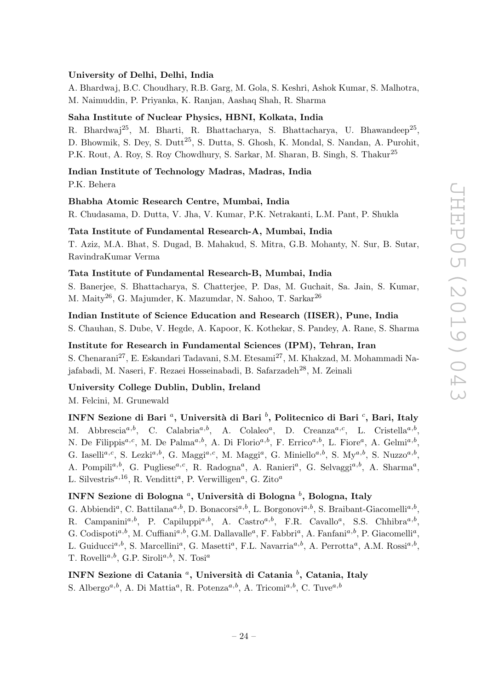### University of Delhi, Delhi, India

A. Bhardwaj, B.C. Choudhary, R.B. Garg, M. Gola, S. Keshri, Ashok Kumar, S. Malhotra, M. Naimuddin, P. Priyanka, K. Ranjan, Aashaq Shah, R. Sharma

#### Saha Institute of Nuclear Physics, HBNI, Kolkata, India

R. Bhardwaj<sup>25</sup>, M. Bharti, R. Bhattacharya, S. Bhattacharya, U. Bhawandeep<sup>25</sup>, D. Bhowmik, S. Dey, S. Dutt<sup>25</sup>, S. Dutta, S. Ghosh, K. Mondal, S. Nandan, A. Purohit, P.K. Rout, A. Roy, S. Roy Chowdhury, S. Sarkar, M. Sharan, B. Singh, S. Thakur<sup>25</sup>

# Indian Institute of Technology Madras, Madras, India

P.K. Behera

### Bhabha Atomic Research Centre, Mumbai, India

R. Chudasama, D. Dutta, V. Jha, V. Kumar, P.K. Netrakanti, L.M. Pant, P. Shukla

### Tata Institute of Fundamental Research-A, Mumbai, India

T. Aziz, M.A. Bhat, S. Dugad, B. Mahakud, S. Mitra, G.B. Mohanty, N. Sur, B. Sutar, RavindraKumar Verma

# Tata Institute of Fundamental Research-B, Mumbai, India

S. Banerjee, S. Bhattacharya, S. Chatterjee, P. Das, M. Guchait, Sa. Jain, S. Kumar, M. Maity26, G. Majumder, K. Mazumdar, N. Sahoo, T. Sarkar<sup>26</sup>

### Indian Institute of Science Education and Research (IISER), Pune, India

S. Chauhan, S. Dube, V. Hegde, A. Kapoor, K. Kothekar, S. Pandey, A. Rane, S. Sharma

# Institute for Research in Fundamental Sciences (IPM), Tehran, Iran

S. Chenarani<sup>27</sup>, E. Eskandari Tadavani, S.M. Etesami<sup>27</sup>, M. Khakzad, M. Mohammadi Najafabadi, M. Naseri, F. Rezaei Hosseinabadi, B. Safarzadeh<sup>28</sup>, M. Zeinali

#### University College Dublin, Dublin, Ireland

M. Felcini, M. Grunewald

# INFN Sezione di Bari <sup>a</sup>, Università di Bari  $^b$ , Politecnico di Bari  $^c$ , Bari, Italy M. Abbrescia<sup>a,b</sup>, C. Calabria<sup>a,b</sup>, A. Colaleo<sup>a</sup>, D. Creanza<sup>a,c</sup>, L. Cristella<sup>a,b</sup>, N. De Filippis<sup>a,c</sup>, M. De Palma<sup>a,b</sup>, A. Di Florio<sup>a,b</sup>, F. Errico<sup>a,b</sup>, L. Fiore<sup>a</sup>, A. Gelmi<sup>a,b</sup>, G. Iaselli<sup>a,c</sup>, S. Lezki<sup>a,b</sup>, G. Maggi<sup>a,c</sup>, M. Maggi<sup>a</sup>, G. Miniello<sup>a,b</sup>, S. My<sup>a,b</sup>, S. Nuzzo<sup>a,b</sup>, A. Pompili<sup>a,b</sup>, G. Pugliese<sup>a,c</sup>, R. Radogna<sup>a</sup>, A. Ranieri<sup>a</sup>, G. Selvaggi<sup>a,b</sup>, A. Sharma<sup>a</sup>, L. Silvestris<sup> $a,16$ </sup>, R. Venditti<sup>a</sup>, P. Verwilligen<sup>a</sup>, G. Zito<sup>a</sup>

# INFN Sezione di Bologna  $^a,$  Università di Bologna  $^b,$  Bologna, Italy

G. Abbiendi<sup>a</sup>, C. Battilana<sup>a,b</sup>, D. Bonacorsi<sup>a,b</sup>, L. Borgonovi<sup>a,b</sup>, S. Braibant-Giacomelli<sup>a,b</sup>, R. Campanini<sup>a,b</sup>, P. Capiluppi<sup>a,b</sup>, A. Castro<sup>a,b</sup>, F.R. Cavallo<sup>a</sup>, S.S. Chhibra<sup>a,b</sup>, G. Codispoti<sup>a,b</sup>, M. Cuffiani<sup>a,b</sup>, G.M. Dallavalle<sup>a</sup>, F. Fabbri<sup>a</sup>, A. Fanfani<sup>a,b</sup>, P. Giacomelli<sup>a</sup>, L. Guiducci<sup>a,b</sup>, S. Marcellini<sup>a</sup>, G. Masetti<sup>a</sup>, F.L. Navarria<sup>a,b</sup>, A. Perrotta<sup>a</sup>, A.M. Rossi<sup>a,b</sup>, T. Rovelli $a,b$ , G.P. Siroli $a,b$ , N. Tosi $a$ 

# INFN Sezione di Catania <sup>a</sup>, Università di Catania  $^b,$  Catania, Italy

S. Albergo<sup>a,b</sup>, A. Di Mattia<sup>a</sup>, R. Potenza<sup>a,b</sup>, A. Tricomi<sup>a,b</sup>, C. Tuve<sup>a,b</sup>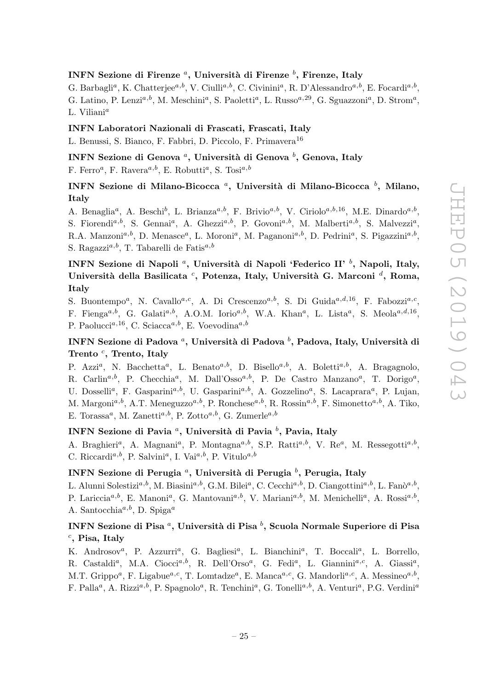# INFN Sezione di Firenze  $^a,$  Università di Firenze  $^b,$  Firenze, Italy

G. Barbagli<sup>a</sup>, K. Chatterjee<sup>a,b</sup>, V. Ciulli<sup>a,b</sup>, C. Civinini<sup>a</sup>, R. D'Alessandro<sup>a,b</sup>, E. Focardi<sup>a,b</sup>, G. Latino, P. Lenzi<sup>a,b</sup>, M. Meschini<sup>a</sup>, S. Paoletti<sup>a</sup>, L. Russo<sup>a, 29</sup>, G. Sguazzoni<sup>a</sup>, D. Strom<sup>a</sup>, L. Viliani $^a$ 

### INFN Laboratori Nazionali di Frascati, Frascati, Italy

L. Benussi, S. Bianco, F. Fabbri, D. Piccolo, F. Primavera<sup>16</sup>

# INFN Sezione di Genova <sup>a</sup>, Università di Genova  $^b,$  Genova, Italy F. Ferro<sup>a</sup>, F. Ravera<sup>a,b</sup>, E. Robutti<sup>a</sup>, S. Tosi<sup>a,b</sup>

# INFN Sezione di Milano-Bicocca <sup>a</sup>, Università di Milano-Bicocca <sup>b</sup>, Milano, Italy

A. Benaglia<sup>a</sup>, A. Beschi<sup>b</sup>, L. Brianza<sup>a,b</sup>, F. Brivio<sup>a,b</sup>, V. Ciriolo<sup>a,b,16</sup>, M.E. Dinardo<sup>a,b</sup>, S. Fiorendi<sup>a,b</sup>, S. Gennai<sup>a</sup>, A. Ghezzi<sup>a,b</sup>, P. Govoni<sup>a,b</sup>, M. Malberti<sup>a,b</sup>, S. Malvezzi<sup>a</sup>, R.A. Manzoni<sup>a,b</sup>, D. Menasce<sup>a</sup>, L. Moroni<sup>a</sup>, M. Paganoni<sup>a,b</sup>, D. Pedrini<sup>a</sup>, S. Pigazzini<sup>a,b</sup>, S. Ragazzi<sup>a,b</sup>, T. Tabarelli de Fatis<sup>a,b</sup>

# INFN Sezione di Napoli <sup>a</sup>, Università di Napoli 'Federico II'  $^b$ , Napoli, Italy, Università della Basilicata  $^c$ , Potenza, Italy, Università G. Marconi  $^d$ , Roma, Italy

S. Buontempo<sup>a</sup>, N. Cavallo<sup>a,c</sup>, A. Di Crescenzo<sup>a,b</sup>, S. Di Guida<sup>a,d,16</sup>, F. Fabozzi<sup>a,c</sup>, F. Fienga<sup>a,b</sup>, G. Galati<sup>a,b</sup>, A.O.M. Iorio<sup>a,b</sup>, W.A. Khan<sup>a</sup>, L. Lista<sup>a</sup>, S. Meola<sup>a,d,16</sup>, P. Paolucci<sup>a, 16</sup>, C. Sciacca<sup>a,b</sup>, E. Voevodina<sup>a,b</sup>

# INFN Sezione di Padova <sup>a</sup>, Università di Padova  $^b$ , Padova, Italy, Università di  $Trento<sup>c</sup>$ , Trento, Italy

P. Azzi<sup>a</sup>, N. Bacchetta<sup>a</sup>, L. Benato<sup>a,b</sup>, D. Bisello<sup>a,b</sup>, A. Boletti<sup>a,b</sup>, A. Bragagnolo, R. Carlin<sup>a,b</sup>, P. Checchia<sup>a</sup>, M. Dall'Osso<sup>a,b</sup>, P. De Castro Manzano<sup>a</sup>, T. Dorigo<sup>a</sup>, U. Dosselli<sup>a</sup>, F. Gasparini<sup>a,b</sup>, U. Gasparini<sup>a,b</sup>, A. Gozzelino<sup>a</sup>, S. Lacaprara<sup>a</sup>, P. Lujan, M. Margoni<sup>a,b</sup>, A.T. Meneguzzo<sup>a,b</sup>, P. Ronchese<sup>a,b</sup>, R. Rossin<sup>a,b</sup>, F. Simonetto<sup>a,b</sup>, A. Tiko, E. Torassa<sup>a</sup>, M. Zanetti<sup>a,b</sup>, P. Zotto<sup>a,b</sup>, G. Zumerle<sup>a,b</sup>

# INFN Sezione di Pavia  $^a,$  Università di Pavia  $^b,$  Pavia, Italy

A. Braghieri<sup>a</sup>, A. Magnani<sup>a</sup>, P. Montagna<sup>a,b</sup>, S.P. Ratti<sup>a,b</sup>, V. Re<sup>a</sup>, M. Ressegotti<sup>a,b</sup>, C. Riccardi<sup>a,b</sup>, P. Salvini<sup>a</sup>, I. Vai<sup>a,b</sup>, P. Vitulo<sup>a,b</sup>

# INFN Sezione di Perugia <sup>a</sup>, Università di Perugia  $^b$ , Perugia, Italy

L. Alunni Solestizi<sup>a,b</sup>, M. Biasini<sup>a,b</sup>, G.M. Bilei<sup>a</sup>, C. Cecchi<sup>a,b</sup>, D. Ciangottini<sup>a,b</sup>, L. Fanò<sup>a,b</sup>, P. Lariccia<sup>a,b</sup>, E. Manoni<sup>a</sup>, G. Mantovani<sup>a,b</sup>, V. Mariani<sup>a,b</sup>, M. Menichelli<sup>a</sup>, A. Rossi<sup>a,b</sup>, A. Santocchia<sup>a,b</sup>, D. Spiga<sup>a</sup>

# INFN Sezione di Pisa  ${}^a,$  Università di Pisa  ${}^b,$  Scuola Normale Superiore di Pisa  $c$ , Pisa, Italy

K. Androsov<sup>a</sup>, P. Azzurri<sup>a</sup>, G. Bagliesi<sup>a</sup>, L. Bianchini<sup>a</sup>, T. Boccali<sup>a</sup>, L. Borrello, R. Castaldi<sup>a</sup>, M.A. Ciocci<sup>a,b</sup>, R. Dell'Orso<sup>a</sup>, G. Fedi<sup>a</sup>, L. Giannini<sup>a,c</sup>, A. Giassi<sup>a</sup>, M.T. Grippo<sup>a</sup>, F. Ligabue<sup>a,c</sup>, T. Lomtadze<sup>a</sup>, E. Manca<sup>a,c</sup>, G. Mandorli<sup>a,c</sup>, A. Messineo<sup>a,b</sup>, F. Palla<sup>a</sup>, A. Rizzi<sup>a,b</sup>, P. Spagnolo<sup>a</sup>, R. Tenchini<sup>a</sup>, G. Tonelli<sup>a,b</sup>, A. Venturi<sup>a</sup>, P.G. Verdini<sup>a</sup>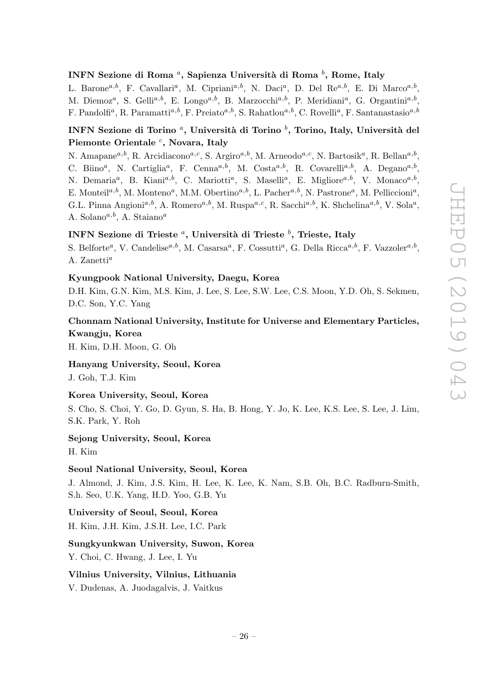# INFN Sezione di Roma <sup>a</sup>, Sapienza Università di Roma  $^b$ , Rome, Italy

L. Barone<sup>a,b</sup>, F. Cavallari<sup>a</sup>, M. Cipriani<sup>a,b</sup>, N. Daci<sup>a</sup>, D. Del Re<sup>a,b</sup>, E. Di Marco<sup>a,b</sup>, M. Diemoz<sup>a</sup>, S. Gelli<sup>a,b</sup>, E. Longo<sup>a,b</sup>, B. Marzocchi<sup>a,b</sup>, P. Meridiani<sup>a</sup>, G. Organtini<sup>a,b</sup>, F. Pandolfi<sup>a</sup>, R. Paramatti<sup>a,b</sup>, F. Preiato<sup>a,b</sup>, S. Rahatlou<sup>a,b</sup>, C. Rovelli<sup>a</sup>, F. Santanastasio<sup>a,b</sup>

# INFN Sezione di Torino <sup>a</sup>, Università di Torino  $^b,$  Torino, Italy, Università del Piemonte Orientale  $^c$ , Novara, Italy

N. Amapane<sup>a,b</sup>, R. Arcidiacono<sup>a,c</sup>, S. Argiro<sup>a,b</sup>, M. Arneodo<sup>a,c</sup>, N. Bartosik<sup>a</sup>, R. Bellan<sup>a,b</sup>, C. Biino<sup>a</sup>, N. Cartiglia<sup>a</sup>, F. Cenna<sup>a,b</sup>, M. Costa<sup>a,b</sup>, R. Covarelli<sup>a,b</sup>, A. Degano<sup>a,b</sup>, N. Demaria<sup>a</sup>, B. Kiani<sup>a,b</sup>, C. Mariotti<sup>a</sup>, S. Maselli<sup>a</sup>, E. Migliore<sup>a,b</sup>, V. Monaco<sup>a,b</sup>, E. Monteil<sup>a,b</sup>, M. Monteno<sup>a</sup>, M.M. Obertino<sup>a,b</sup>, L. Pacher<sup>a,b</sup>, N. Pastrone<sup>a</sup>, M. Pelliccioni<sup>a</sup>, G.L. Pinna Angioni<sup>a, b</sup>, A. Romero<sup>a, b</sup>, M. Ruspa<sup>a, c</sup>, R. Sacchi<sup>a, b</sup>, K. Shchelina<sup>a, b</sup>, V. Sola<sup>a</sup>, A. Solano<sup>a,b</sup>, A. Staiano<sup>a</sup>

# INFN Sezione di Trieste <sup>a</sup>, Università di Trieste  $^b$ , Trieste, Italy

S. Belforte<sup>a</sup>, V. Candelise<sup>a,b</sup>, M. Casarsa<sup>a</sup>, F. Cossutti<sup>a</sup>, G. Della Ricca<sup>a,b</sup>, F. Vazzoler<sup>a,b</sup>, A. Zanetti<sup>a</sup>

### Kyungpook National University, Daegu, Korea

D.H. Kim, G.N. Kim, M.S. Kim, J. Lee, S. Lee, S.W. Lee, C.S. Moon, Y.D. Oh, S. Sekmen, D.C. Son, Y.C. Yang

# Chonnam National University, Institute for Universe and Elementary Particles, Kwangju, Korea

H. Kim, D.H. Moon, G. Oh

Hanyang University, Seoul, Korea J. Goh, T.J. Kim

Korea University, Seoul, Korea

S. Cho, S. Choi, Y. Go, D. Gyun, S. Ha, B. Hong, Y. Jo, K. Lee, K.S. Lee, S. Lee, J. Lim, S.K. Park, Y. Roh

Sejong University, Seoul, Korea H. Kim

# Seoul National University, Seoul, Korea

J. Almond, J. Kim, J.S. Kim, H. Lee, K. Lee, K. Nam, S.B. Oh, B.C. Radburn-Smith, S.h. Seo, U.K. Yang, H.D. Yoo, G.B. Yu

University of Seoul, Seoul, Korea H. Kim, J.H. Kim, J.S.H. Lee, I.C. Park

# Sungkyunkwan University, Suwon, Korea

Y. Choi, C. Hwang, J. Lee, I. Yu

### Vilnius University, Vilnius, Lithuania

V. Dudenas, A. Juodagalvis, J. Vaitkus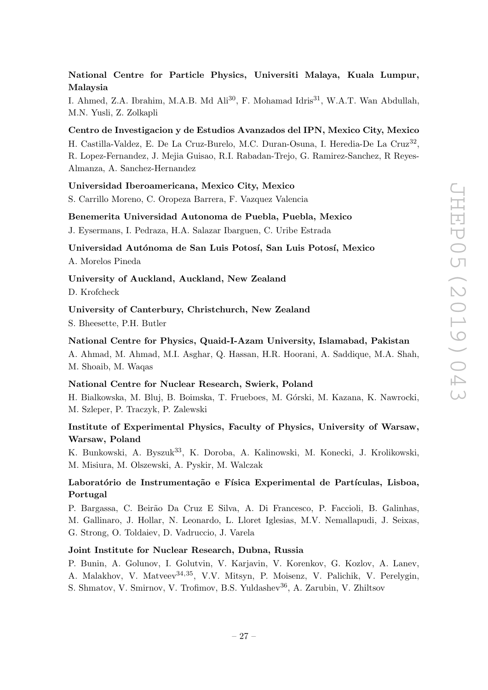# National Centre for Particle Physics, Universiti Malaya, Kuala Lumpur, Malaysia

I. Ahmed, Z.A. Ibrahim, M.A.B. Md Ali<sup>30</sup>, F. Mohamad Idris<sup>31</sup>, W.A.T. Wan Abdullah, M.N. Yusli, Z. Zolkapli

Centro de Investigacion y de Estudios Avanzados del IPN, Mexico City, Mexico H. Castilla-Valdez, E. De La Cruz-Burelo, M.C. Duran-Osuna, I. Heredia-De La Cruz<sup>32</sup>, R. Lopez-Fernandez, J. Mejia Guisao, R.I. Rabadan-Trejo, G. Ramirez-Sanchez, R Reyes-Almanza, A. Sanchez-Hernandez

#### Universidad Iberoamericana, Mexico City, Mexico

S. Carrillo Moreno, C. Oropeza Barrera, F. Vazquez Valencia

### Benemerita Universidad Autonoma de Puebla, Puebla, Mexico

J. Eysermans, I. Pedraza, H.A. Salazar Ibarguen, C. Uribe Estrada

# Universidad Autónoma de San Luis Potosí, San Luis Potosí, Mexico A. Morelos Pineda

University of Auckland, Auckland, New Zealand D. Krofcheck

#### University of Canterbury, Christchurch, New Zealand

S. Bheesette, P.H. Butler

#### National Centre for Physics, Quaid-I-Azam University, Islamabad, Pakistan

A. Ahmad, M. Ahmad, M.I. Asghar, Q. Hassan, H.R. Hoorani, A. Saddique, M.A. Shah, M. Shoaib, M. Waqas

# National Centre for Nuclear Research, Swierk, Poland

H. Bialkowska, M. Bluj, B. Boimska, T. Frueboes, M. G´orski, M. Kazana, K. Nawrocki, M. Szleper, P. Traczyk, P. Zalewski

# Institute of Experimental Physics, Faculty of Physics, University of Warsaw, Warsaw, Poland

K. Bunkowski, A. Byszuk33, K. Doroba, A. Kalinowski, M. Konecki, J. Krolikowski, M. Misiura, M. Olszewski, A. Pyskir, M. Walczak

# Laboratório de Instrumentação e Física Experimental de Partículas, Lisboa, Portugal

P. Bargassa, C. Beirão Da Cruz E Silva, A. Di Francesco, P. Faccioli, B. Galinhas, M. Gallinaro, J. Hollar, N. Leonardo, L. Lloret Iglesias, M.V. Nemallapudi, J. Seixas, G. Strong, O. Toldaiev, D. Vadruccio, J. Varela

# Joint Institute for Nuclear Research, Dubna, Russia

P. Bunin, A. Golunov, I. Golutvin, V. Karjavin, V. Korenkov, G. Kozlov, A. Lanev, A. Malakhov, V. Matveev<sup>34,35</sup>, V.V. Mitsyn, P. Moisenz, V. Palichik, V. Perelygin, S. Shmatov, V. Smirnov, V. Trofimov, B.S. Yuldashev<sup>36</sup>, A. Zarubin, V. Zhiltsov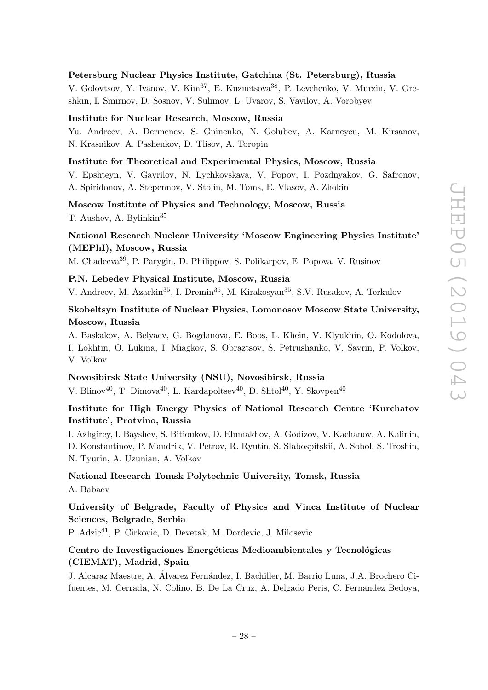### Petersburg Nuclear Physics Institute, Gatchina (St. Petersburg), Russia

V. Golovtsov, Y. Ivanov, V. Kim37, E. Kuznetsova38, P. Levchenko, V. Murzin, V. Oreshkin, I. Smirnov, D. Sosnov, V. Sulimov, L. Uvarov, S. Vavilov, A. Vorobyev

#### Institute for Nuclear Research, Moscow, Russia

Yu. Andreev, A. Dermenev, S. Gninenko, N. Golubev, A. Karneyeu, M. Kirsanov, N. Krasnikov, A. Pashenkov, D. Tlisov, A. Toropin

### Institute for Theoretical and Experimental Physics, Moscow, Russia

V. Epshteyn, V. Gavrilov, N. Lychkovskaya, V. Popov, I. Pozdnyakov, G. Safronov, A. Spiridonov, A. Stepennov, V. Stolin, M. Toms, E. Vlasov, A. Zhokin

Moscow Institute of Physics and Technology, Moscow, Russia

T. Aushev, A. Bylinkin<sup>35</sup>

# National Research Nuclear University 'Moscow Engineering Physics Institute' (MEPhI), Moscow, Russia

M. Chadeeva39, P. Parygin, D. Philippov, S. Polikarpov, E. Popova, V. Rusinov

# P.N. Lebedev Physical Institute, Moscow, Russia

V. Andreev, M. Azarkin<sup>35</sup>, I. Dremin<sup>35</sup>, M. Kirakosyan<sup>35</sup>, S.V. Rusakov, A. Terkulov

# Skobeltsyn Institute of Nuclear Physics, Lomonosov Moscow State University, Moscow, Russia

A. Baskakov, A. Belyaev, G. Bogdanova, E. Boos, L. Khein, V. Klyukhin, O. Kodolova, I. Lokhtin, O. Lukina, I. Miagkov, S. Obraztsov, S. Petrushanko, V. Savrin, P. Volkov, V. Volkov

### Novosibirsk State University (NSU), Novosibirsk, Russia

V. Blinov<sup>40</sup>, T. Dimova<sup>40</sup>, L. Kardapoltsev<sup>40</sup>, D. Shtol<sup>40</sup>, Y. Skovpen<sup>40</sup>

# Institute for High Energy Physics of National Research Centre 'Kurchatov Institute', Protvino, Russia

I. Azhgirey, I. Bayshev, S. Bitioukov, D. Elumakhov, A. Godizov, V. Kachanov, A. Kalinin, D. Konstantinov, P. Mandrik, V. Petrov, R. Ryutin, S. Slabospitskii, A. Sobol, S. Troshin, N. Tyurin, A. Uzunian, A. Volkov

#### National Research Tomsk Polytechnic University, Tomsk, Russia

A. Babaev

# University of Belgrade, Faculty of Physics and Vinca Institute of Nuclear Sciences, Belgrade, Serbia

P. Adzic41, P. Cirkovic, D. Devetak, M. Dordevic, J. Milosevic

# Centro de Investigaciones Energéticas Medioambientales y Tecnológicas (CIEMAT), Madrid, Spain

J. Alcaraz Maestre, A. Alvarez Fern´andez, I. Bachiller, M. Barrio Luna, J.A. Brochero Ci- ´ fuentes, M. Cerrada, N. Colino, B. De La Cruz, A. Delgado Peris, C. Fernandez Bedoya,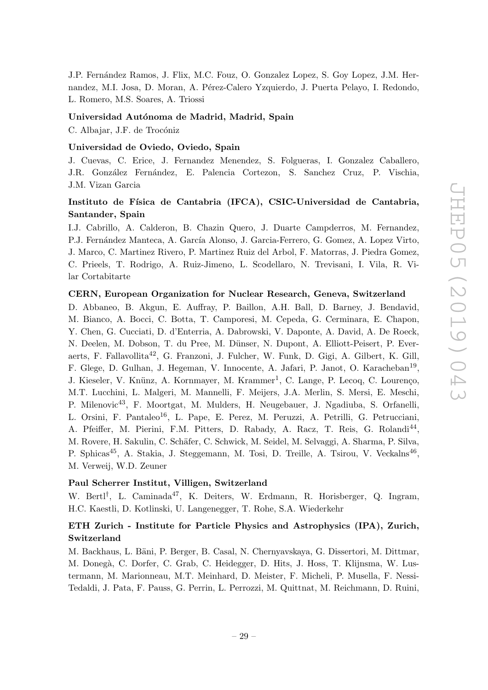J.P. Fernández Ramos, J. Flix, M.C. Fouz, O. Gonzalez Lopez, S. Goy Lopez, J.M. Hernandez, M.I. Josa, D. Moran, A. Pérez-Calero Yzquierdo, J. Puerta Pelayo, I. Redondo, L. Romero, M.S. Soares, A. Triossi

#### Universidad Autónoma de Madrid, Madrid, Spain

C. Albajar, J.F. de Trocóniz

### Universidad de Oviedo, Oviedo, Spain

J. Cuevas, C. Erice, J. Fernandez Menendez, S. Folgueras, I. Gonzalez Caballero, J.R. Gonz´alez Fern´andez, E. Palencia Cortezon, S. Sanchez Cruz, P. Vischia, J.M. Vizan Garcia

# Instituto de Física de Cantabria (IFCA), CSIC-Universidad de Cantabria, Santander, Spain

I.J. Cabrillo, A. Calderon, B. Chazin Quero, J. Duarte Campderros, M. Fernandez, P.J. Fernández Manteca, A. García Alonso, J. Garcia-Ferrero, G. Gomez, A. Lopez Virto, J. Marco, C. Martinez Rivero, P. Martinez Ruiz del Arbol, F. Matorras, J. Piedra Gomez, C. Prieels, T. Rodrigo, A. Ruiz-Jimeno, L. Scodellaro, N. Trevisani, I. Vila, R. Vilar Cortabitarte

#### CERN, European Organization for Nuclear Research, Geneva, Switzerland

D. Abbaneo, B. Akgun, E. Auffray, P. Baillon, A.H. Ball, D. Barney, J. Bendavid, M. Bianco, A. Bocci, C. Botta, T. Camporesi, M. Cepeda, G. Cerminara, E. Chapon, Y. Chen, G. Cucciati, D. d'Enterria, A. Dabrowski, V. Daponte, A. David, A. De Roeck, N. Deelen, M. Dobson, T. du Pree, M. Dünser, N. Dupont, A. Elliott-Peisert, P. Everaerts, F. Fallavollita42, G. Franzoni, J. Fulcher, W. Funk, D. Gigi, A. Gilbert, K. Gill, F. Glege, D. Gulhan, J. Hegeman, V. Innocente, A. Jafari, P. Janot, O. Karacheban<sup>19</sup>, J. Kieseler, V. Knünz, A. Kornmayer, M. Krammer<sup>1</sup>, C. Lange, P. Lecoq, C. Lourenço, M.T. Lucchini, L. Malgeri, M. Mannelli, F. Meijers, J.A. Merlin, S. Mersi, E. Meschi, P. Milenovic<sup>43</sup>, F. Moortgat, M. Mulders, H. Neugebauer, J. Ngadiuba, S. Orfanelli, L. Orsini, F. Pantaleo<sup>16</sup>, L. Pape, E. Perez, M. Peruzzi, A. Petrilli, G. Petrucciani, A. Pfeiffer, M. Pierini, F.M. Pitters, D. Rabady, A. Racz, T. Reis, G. Rolandi<sup>44</sup>, M. Rovere, H. Sakulin, C. Schäfer, C. Schwick, M. Seidel, M. Selvaggi, A. Sharma, P. Silva, P. Sphicas<sup>45</sup>, A. Stakia, J. Steggemann, M. Tosi, D. Treille, A. Tsirou, V. Veckalns<sup>46</sup>, M. Verweij, W.D. Zeuner

# Paul Scherrer Institut, Villigen, Switzerland

W. Bertl<sup>†</sup>, L. Caminada<sup>47</sup>, K. Deiters, W. Erdmann, R. Horisberger, Q. Ingram, H.C. Kaestli, D. Kotlinski, U. Langenegger, T. Rohe, S.A. Wiederkehr

# ETH Zurich - Institute for Particle Physics and Astrophysics (IPA), Zurich, Switzerland

M. Backhaus, L. Bäni, P. Berger, B. Casal, N. Chernyavskaya, G. Dissertori, M. Dittmar, M. Doneg`a, C. Dorfer, C. Grab, C. Heidegger, D. Hits, J. Hoss, T. Klijnsma, W. Lustermann, M. Marionneau, M.T. Meinhard, D. Meister, F. Micheli, P. Musella, F. Nessi-Tedaldi, J. Pata, F. Pauss, G. Perrin, L. Perrozzi, M. Quittnat, M. Reichmann, D. Ruini,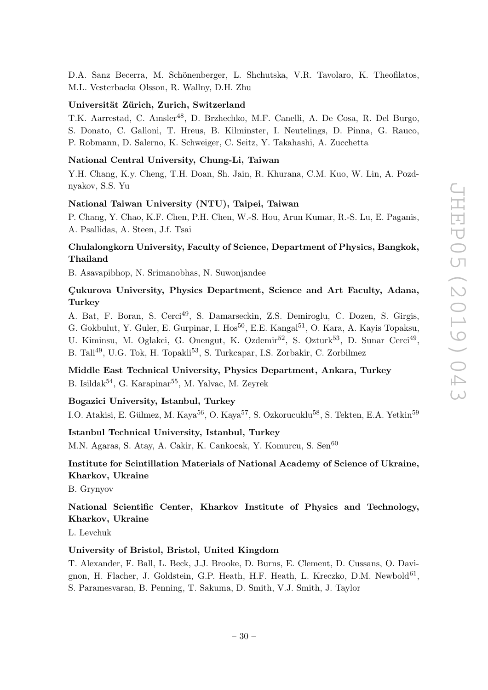D.A. Sanz Becerra, M. Schönenberger, L. Shchutska, V.R. Tavolaro, K. Theofilatos, M.L. Vesterbacka Olsson, R. Wallny, D.H. Zhu

#### Universität Zürich, Zurich, Switzerland

T.K. Aarrestad, C. Amsler<sup>48</sup>, D. Brzhechko, M.F. Canelli, A. De Cosa, R. Del Burgo, S. Donato, C. Galloni, T. Hreus, B. Kilminster, I. Neutelings, D. Pinna, G. Rauco, P. Robmann, D. Salerno, K. Schweiger, C. Seitz, Y. Takahashi, A. Zucchetta

#### National Central University, Chung-Li, Taiwan

Y.H. Chang, K.y. Cheng, T.H. Doan, Sh. Jain, R. Khurana, C.M. Kuo, W. Lin, A. Pozdnyakov, S.S. Yu

### National Taiwan University (NTU), Taipei, Taiwan

P. Chang, Y. Chao, K.F. Chen, P.H. Chen, W.-S. Hou, Arun Kumar, R.-S. Lu, E. Paganis, A. Psallidas, A. Steen, J.f. Tsai

# Chulalongkorn University, Faculty of Science, Department of Physics, Bangkok, Thailand

B. Asavapibhop, N. Srimanobhas, N. Suwonjandee

# Cukurova University, Physics Department, Science and Art Faculty, Adana, Turkey

A. Bat, F. Boran, S. Cerci<sup>49</sup>, S. Damarseckin, Z.S. Demiroglu, C. Dozen, S. Girgis, G. Gokbulut, Y. Guler, E. Gurpinar, I. Hos<sup>50</sup>, E.E. Kangal<sup>51</sup>, O. Kara, A. Kavis Topaksu, U. Kiminsu, M. Oglakci, G. Onengut, K. Ozdemir<sup>52</sup>, S. Ozturk<sup>53</sup>, D. Sunar Cerci<sup>49</sup>, B. Tali<sup>49</sup>, U.G. Tok, H. Topakli<sup>53</sup>, S. Turkcapar, I.S. Zorbakir, C. Zorbilmez

Middle East Technical University, Physics Department, Ankara, Turkey B. Isildak<sup>54</sup>, G. Karapinar<sup>55</sup>, M. Yalvac, M. Zevrek

# Bogazici University, Istanbul, Turkey

I.O. Atakisi, E. Gülmez, M. Kaya<sup>56</sup>, O. Kaya<sup>57</sup>, S. Ozkorucuklu<sup>58</sup>, S. Tekten, E.A. Yetkin<sup>59</sup>

### Istanbul Technical University, Istanbul, Turkey

M.N. Agaras, S. Atay, A. Cakir, K. Cankocak, Y. Komurcu, S. Sen<sup>60</sup>

# Institute for Scintillation Materials of National Academy of Science of Ukraine, Kharkov, Ukraine

B. Grynyov

# National Scientific Center, Kharkov Institute of Physics and Technology, Kharkov, Ukraine

L. Levchuk

# University of Bristol, Bristol, United Kingdom

T. Alexander, F. Ball, L. Beck, J.J. Brooke, D. Burns, E. Clement, D. Cussans, O. Davignon, H. Flacher, J. Goldstein, G.P. Heath, H.F. Heath, L. Kreczko, D.M. Newbold<sup>61</sup>, S. Paramesvaran, B. Penning, T. Sakuma, D. Smith, V.J. Smith, J. Taylor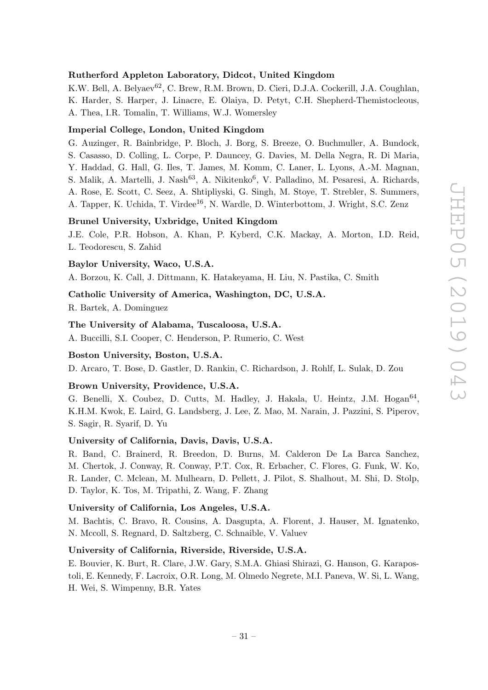# Rutherford Appleton Laboratory, Didcot, United Kingdom

K.W. Bell, A. Belyaev<sup>62</sup>, C. Brew, R.M. Brown, D. Cieri, D.J.A. Cockerill, J.A. Coughlan, K. Harder, S. Harper, J. Linacre, E. Olaiya, D. Petyt, C.H. Shepherd-Themistocleous, A. Thea, I.R. Tomalin, T. Williams, W.J. Womersley

# Imperial College, London, United Kingdom

G. Auzinger, R. Bainbridge, P. Bloch, J. Borg, S. Breeze, O. Buchmuller, A. Bundock, S. Casasso, D. Colling, L. Corpe, P. Dauncey, G. Davies, M. Della Negra, R. Di Maria, Y. Haddad, G. Hall, G. Iles, T. James, M. Komm, C. Laner, L. Lyons, A.-M. Magnan, S. Malik, A. Martelli, J. Nash<sup>63</sup>, A. Nikitenko<sup>6</sup>, V. Palladino, M. Pesaresi, A. Richards, A. Rose, E. Scott, C. Seez, A. Shtipliyski, G. Singh, M. Stoye, T. Strebler, S. Summers, A. Tapper, K. Uchida, T. Virdee<sup>16</sup>, N. Wardle, D. Winterbottom, J. Wright, S.C. Zenz

# Brunel University, Uxbridge, United Kingdom

J.E. Cole, P.R. Hobson, A. Khan, P. Kyberd, C.K. Mackay, A. Morton, I.D. Reid, L. Teodorescu, S. Zahid

# Baylor University, Waco, U.S.A.

A. Borzou, K. Call, J. Dittmann, K. Hatakeyama, H. Liu, N. Pastika, C. Smith

### Catholic University of America, Washington, DC, U.S.A.

R. Bartek, A. Dominguez

# The University of Alabama, Tuscaloosa, U.S.A.

A. Buccilli, S.I. Cooper, C. Henderson, P. Rumerio, C. West

# Boston University, Boston, U.S.A.

D. Arcaro, T. Bose, D. Gastler, D. Rankin, C. Richardson, J. Rohlf, L. Sulak, D. Zou

### Brown University, Providence, U.S.A.

G. Benelli, X. Coubez, D. Cutts, M. Hadley, J. Hakala, U. Heintz, J.M. Hogan<sup>64</sup>, K.H.M. Kwok, E. Laird, G. Landsberg, J. Lee, Z. Mao, M. Narain, J. Pazzini, S. Piperov, S. Sagir, R. Syarif, D. Yu

# University of California, Davis, Davis, U.S.A.

R. Band, C. Brainerd, R. Breedon, D. Burns, M. Calderon De La Barca Sanchez, M. Chertok, J. Conway, R. Conway, P.T. Cox, R. Erbacher, C. Flores, G. Funk, W. Ko, R. Lander, C. Mclean, M. Mulhearn, D. Pellett, J. Pilot, S. Shalhout, M. Shi, D. Stolp, D. Taylor, K. Tos, M. Tripathi, Z. Wang, F. Zhang

### University of California, Los Angeles, U.S.A.

M. Bachtis, C. Bravo, R. Cousins, A. Dasgupta, A. Florent, J. Hauser, M. Ignatenko, N. Mccoll, S. Regnard, D. Saltzberg, C. Schnaible, V. Valuev

# University of California, Riverside, Riverside, U.S.A.

E. Bouvier, K. Burt, R. Clare, J.W. Gary, S.M.A. Ghiasi Shirazi, G. Hanson, G. Karapostoli, E. Kennedy, F. Lacroix, O.R. Long, M. Olmedo Negrete, M.I. Paneva, W. Si, L. Wang, H. Wei, S. Wimpenny, B.R. Yates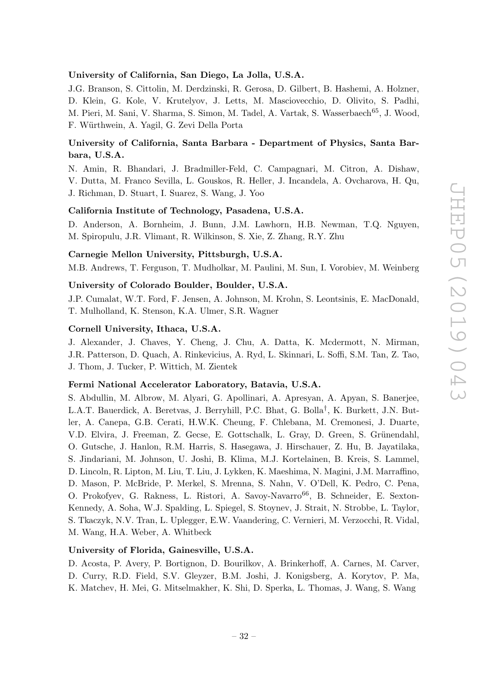### University of California, San Diego, La Jolla, U.S.A.

J.G. Branson, S. Cittolin, M. Derdzinski, R. Gerosa, D. Gilbert, B. Hashemi, A. Holzner, D. Klein, G. Kole, V. Krutelyov, J. Letts, M. Masciovecchio, D. Olivito, S. Padhi, M. Pieri, M. Sani, V. Sharma, S. Simon, M. Tadel, A. Vartak, S. Wasserbaech<sup>65</sup>, J. Wood, F. Würthwein, A. Yagil, G. Zevi Della Porta

# University of California, Santa Barbara - Department of Physics, Santa Barbara, U.S.A.

N. Amin, R. Bhandari, J. Bradmiller-Feld, C. Campagnari, M. Citron, A. Dishaw, V. Dutta, M. Franco Sevilla, L. Gouskos, R. Heller, J. Incandela, A. Ovcharova, H. Qu, J. Richman, D. Stuart, I. Suarez, S. Wang, J. Yoo

#### California Institute of Technology, Pasadena, U.S.A.

D. Anderson, A. Bornheim, J. Bunn, J.M. Lawhorn, H.B. Newman, T.Q. Nguyen, M. Spiropulu, J.R. Vlimant, R. Wilkinson, S. Xie, Z. Zhang, R.Y. Zhu

### Carnegie Mellon University, Pittsburgh, U.S.A.

M.B. Andrews, T. Ferguson, T. Mudholkar, M. Paulini, M. Sun, I. Vorobiev, M. Weinberg

# University of Colorado Boulder, Boulder, U.S.A.

J.P. Cumalat, W.T. Ford, F. Jensen, A. Johnson, M. Krohn, S. Leontsinis, E. MacDonald, T. Mulholland, K. Stenson, K.A. Ulmer, S.R. Wagner

### Cornell University, Ithaca, U.S.A.

J. Alexander, J. Chaves, Y. Cheng, J. Chu, A. Datta, K. Mcdermott, N. Mirman, J.R. Patterson, D. Quach, A. Rinkevicius, A. Ryd, L. Skinnari, L. Soffi, S.M. Tan, Z. Tao, J. Thom, J. Tucker, P. Wittich, M. Zientek

#### Fermi National Accelerator Laboratory, Batavia, U.S.A.

S. Abdullin, M. Albrow, M. Alyari, G. Apollinari, A. Apresyan, A. Apyan, S. Banerjee, L.A.T. Bauerdick, A. Beretvas, J. Berryhill, P.C. Bhat, G. Bolla<sup>†</sup>, K. Burkett, J.N. Butler, A. Canepa, G.B. Cerati, H.W.K. Cheung, F. Chlebana, M. Cremonesi, J. Duarte, V.D. Elvira, J. Freeman, Z. Gecse, E. Gottschalk, L. Gray, D. Green, S. Grünendahl, O. Gutsche, J. Hanlon, R.M. Harris, S. Hasegawa, J. Hirschauer, Z. Hu, B. Jayatilaka, S. Jindariani, M. Johnson, U. Joshi, B. Klima, M.J. Kortelainen, B. Kreis, S. Lammel, D. Lincoln, R. Lipton, M. Liu, T. Liu, J. Lykken, K. Maeshima, N. Magini, J.M. Marraffino, D. Mason, P. McBride, P. Merkel, S. Mrenna, S. Nahn, V. O'Dell, K. Pedro, C. Pena, O. Prokofyev, G. Rakness, L. Ristori, A. Savoy-Navarro<sup>66</sup>, B. Schneider, E. Sexton-Kennedy, A. Soha, W.J. Spalding, L. Spiegel, S. Stoynev, J. Strait, N. Strobbe, L. Taylor, S. Tkaczyk, N.V. Tran, L. Uplegger, E.W. Vaandering, C. Vernieri, M. Verzocchi, R. Vidal, M. Wang, H.A. Weber, A. Whitbeck

# University of Florida, Gainesville, U.S.A.

D. Acosta, P. Avery, P. Bortignon, D. Bourilkov, A. Brinkerhoff, A. Carnes, M. Carver, D. Curry, R.D. Field, S.V. Gleyzer, B.M. Joshi, J. Konigsberg, A. Korytov, P. Ma, K. Matchev, H. Mei, G. Mitselmakher, K. Shi, D. Sperka, L. Thomas, J. Wang, S. Wang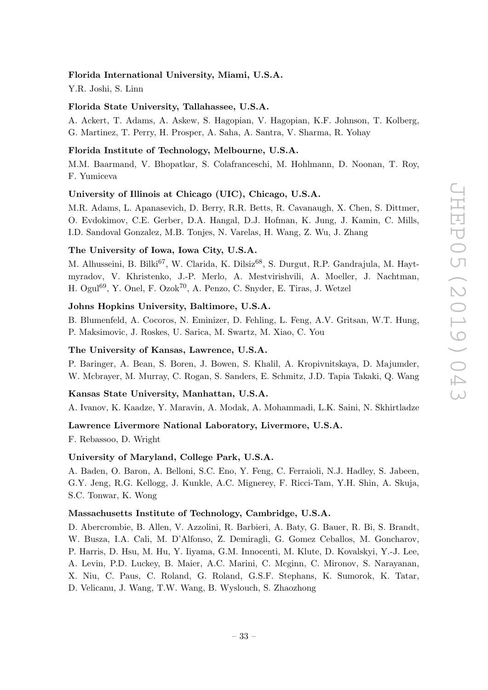### Florida International University, Miami, U.S.A.

Y.R. Joshi, S. Linn

### Florida State University, Tallahassee, U.S.A.

A. Ackert, T. Adams, A. Askew, S. Hagopian, V. Hagopian, K.F. Johnson, T. Kolberg, G. Martinez, T. Perry, H. Prosper, A. Saha, A. Santra, V. Sharma, R. Yohay

#### Florida Institute of Technology, Melbourne, U.S.A.

M.M. Baarmand, V. Bhopatkar, S. Colafranceschi, M. Hohlmann, D. Noonan, T. Roy, F. Yumiceva

# University of Illinois at Chicago (UIC), Chicago, U.S.A.

M.R. Adams, L. Apanasevich, D. Berry, R.R. Betts, R. Cavanaugh, X. Chen, S. Dittmer, O. Evdokimov, C.E. Gerber, D.A. Hangal, D.J. Hofman, K. Jung, J. Kamin, C. Mills, I.D. Sandoval Gonzalez, M.B. Tonjes, N. Varelas, H. Wang, Z. Wu, J. Zhang

# The University of Iowa, Iowa City, U.S.A.

M. Alhusseini, B. Bilki<sup>67</sup>, W. Clarida, K. Dilsiz<sup>68</sup>, S. Durgut, R.P. Gandrajula, M. Haytmyradov, V. Khristenko, J.-P. Merlo, A. Mestvirishvili, A. Moeller, J. Nachtman, H. Ogul<sup>69</sup>, Y. Onel, F. Ozok<sup>70</sup>, A. Penzo, C. Snyder, E. Tiras, J. Wetzel

### Johns Hopkins University, Baltimore, U.S.A.

B. Blumenfeld, A. Cocoros, N. Eminizer, D. Fehling, L. Feng, A.V. Gritsan, W.T. Hung, P. Maksimovic, J. Roskes, U. Sarica, M. Swartz, M. Xiao, C. You

#### The University of Kansas, Lawrence, U.S.A.

P. Baringer, A. Bean, S. Boren, J. Bowen, S. Khalil, A. Kropivnitskaya, D. Majumder, W. Mcbrayer, M. Murray, C. Rogan, S. Sanders, E. Schmitz, J.D. Tapia Takaki, Q. Wang

# Kansas State University, Manhattan, U.S.A.

A. Ivanov, K. Kaadze, Y. Maravin, A. Modak, A. Mohammadi, L.K. Saini, N. Skhirtladze

### Lawrence Livermore National Laboratory, Livermore, U.S.A.

F. Rebassoo, D. Wright

#### University of Maryland, College Park, U.S.A.

A. Baden, O. Baron, A. Belloni, S.C. Eno, Y. Feng, C. Ferraioli, N.J. Hadley, S. Jabeen, G.Y. Jeng, R.G. Kellogg, J. Kunkle, A.C. Mignerey, F. Ricci-Tam, Y.H. Shin, A. Skuja, S.C. Tonwar, K. Wong

# Massachusetts Institute of Technology, Cambridge, U.S.A.

D. Abercrombie, B. Allen, V. Azzolini, R. Barbieri, A. Baty, G. Bauer, R. Bi, S. Brandt, W. Busza, I.A. Cali, M. D'Alfonso, Z. Demiragli, G. Gomez Ceballos, M. Goncharov, P. Harris, D. Hsu, M. Hu, Y. Iiyama, G.M. Innocenti, M. Klute, D. Kovalskyi, Y.-J. Lee, A. Levin, P.D. Luckey, B. Maier, A.C. Marini, C. Mcginn, C. Mironov, S. Narayanan, X. Niu, C. Paus, C. Roland, G. Roland, G.S.F. Stephans, K. Sumorok, K. Tatar, D. Velicanu, J. Wang, T.W. Wang, B. Wyslouch, S. Zhaozhong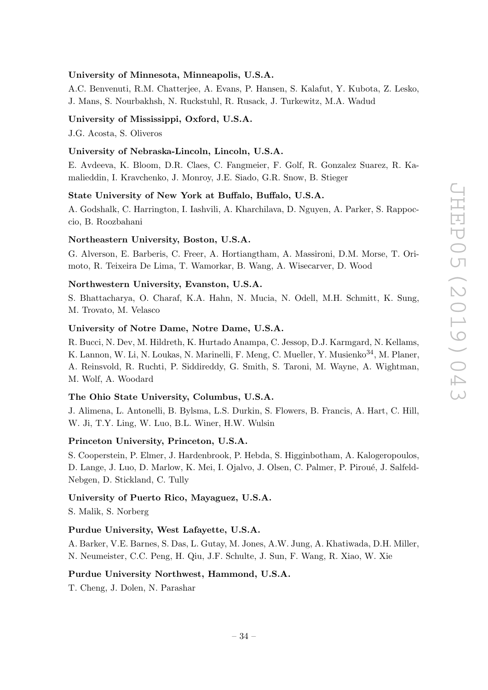### University of Minnesota, Minneapolis, U.S.A.

A.C. Benvenuti, R.M. Chatterjee, A. Evans, P. Hansen, S. Kalafut, Y. Kubota, Z. Lesko, J. Mans, S. Nourbakhsh, N. Ruckstuhl, R. Rusack, J. Turkewitz, M.A. Wadud

#### University of Mississippi, Oxford, U.S.A.

J.G. Acosta, S. Oliveros

### University of Nebraska-Lincoln, Lincoln, U.S.A.

E. Avdeeva, K. Bloom, D.R. Claes, C. Fangmeier, F. Golf, R. Gonzalez Suarez, R. Kamalieddin, I. Kravchenko, J. Monroy, J.E. Siado, G.R. Snow, B. Stieger

### State University of New York at Buffalo, Buffalo, U.S.A.

A. Godshalk, C. Harrington, I. Iashvili, A. Kharchilava, D. Nguyen, A. Parker, S. Rappoccio, B. Roozbahani

### Northeastern University, Boston, U.S.A.

G. Alverson, E. Barberis, C. Freer, A. Hortiangtham, A. Massironi, D.M. Morse, T. Orimoto, R. Teixeira De Lima, T. Wamorkar, B. Wang, A. Wisecarver, D. Wood

### Northwestern University, Evanston, U.S.A.

S. Bhattacharya, O. Charaf, K.A. Hahn, N. Mucia, N. Odell, M.H. Schmitt, K. Sung, M. Trovato, M. Velasco

# University of Notre Dame, Notre Dame, U.S.A.

R. Bucci, N. Dev, M. Hildreth, K. Hurtado Anampa, C. Jessop, D.J. Karmgard, N. Kellams, K. Lannon, W. Li, N. Loukas, N. Marinelli, F. Meng, C. Mueller, Y. Musienko<sup>34</sup>, M. Planer, A. Reinsvold, R. Ruchti, P. Siddireddy, G. Smith, S. Taroni, M. Wayne, A. Wightman, M. Wolf, A. Woodard

#### The Ohio State University, Columbus, U.S.A.

J. Alimena, L. Antonelli, B. Bylsma, L.S. Durkin, S. Flowers, B. Francis, A. Hart, C. Hill, W. Ji, T.Y. Ling, W. Luo, B.L. Winer, H.W. Wulsin

#### Princeton University, Princeton, U.S.A.

S. Cooperstein, P. Elmer, J. Hardenbrook, P. Hebda, S. Higginbotham, A. Kalogeropoulos, D. Lange, J. Luo, D. Marlow, K. Mei, I. Ojalvo, J. Olsen, C. Palmer, P. Piroué, J. Salfeld-Nebgen, D. Stickland, C. Tully

# University of Puerto Rico, Mayaguez, U.S.A.

S. Malik, S. Norberg

# Purdue University, West Lafayette, U.S.A.

A. Barker, V.E. Barnes, S. Das, L. Gutay, M. Jones, A.W. Jung, A. Khatiwada, D.H. Miller, N. Neumeister, C.C. Peng, H. Qiu, J.F. Schulte, J. Sun, F. Wang, R. Xiao, W. Xie

#### Purdue University Northwest, Hammond, U.S.A.

T. Cheng, J. Dolen, N. Parashar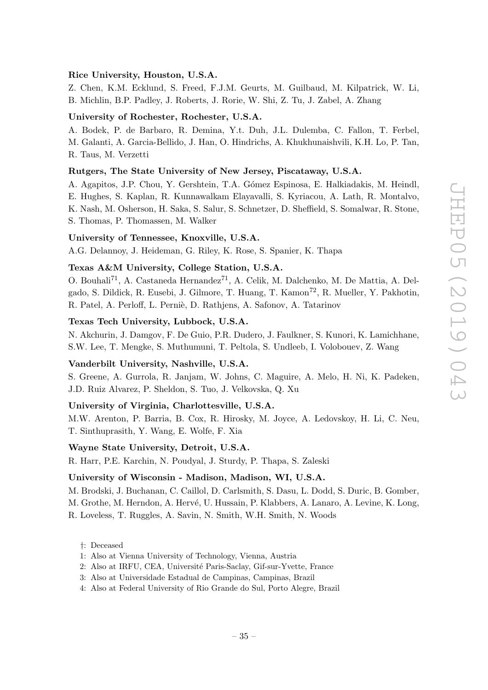#### Rice University, Houston, U.S.A.

Z. Chen, K.M. Ecklund, S. Freed, F.J.M. Geurts, M. Guilbaud, M. Kilpatrick, W. Li, B. Michlin, B.P. Padley, J. Roberts, J. Rorie, W. Shi, Z. Tu, J. Zabel, A. Zhang

#### University of Rochester, Rochester, U.S.A.

A. Bodek, P. de Barbaro, R. Demina, Y.t. Duh, J.L. Dulemba, C. Fallon, T. Ferbel, M. Galanti, A. Garcia-Bellido, J. Han, O. Hindrichs, A. Khukhunaishvili, K.H. Lo, P. Tan, R. Taus, M. Verzetti

#### Rutgers, The State University of New Jersey, Piscataway, U.S.A.

A. Agapitos, J.P. Chou, Y. Gershtein, T.A. Gómez Espinosa, E. Halkiadakis, M. Heindl, E. Hughes, S. Kaplan, R. Kunnawalkam Elayavalli, S. Kyriacou, A. Lath, R. Montalvo, K. Nash, M. Osherson, H. Saka, S. Salur, S. Schnetzer, D. Sheffield, S. Somalwar, R. Stone, S. Thomas, P. Thomassen, M. Walker

### University of Tennessee, Knoxville, U.S.A.

A.G. Delannoy, J. Heideman, G. Riley, K. Rose, S. Spanier, K. Thapa

# Texas A&M University, College Station, U.S.A.

O. Bouhali<sup>71</sup>, A. Castaneda Hernandez<sup>71</sup>, A. Celik, M. Dalchenko, M. De Mattia, A. Delgado, S. Dildick, R. Eusebi, J. Gilmore, T. Huang, T. Kamon<sup>72</sup>, R. Mueller, Y. Pakhotin, R. Patel, A. Perloff, L. Perniè, D. Rathjens, A. Safonov, A. Tatarinov

# Texas Tech University, Lubbock, U.S.A.

N. Akchurin, J. Damgov, F. De Guio, P.R. Dudero, J. Faulkner, S. Kunori, K. Lamichhane, S.W. Lee, T. Mengke, S. Muthumuni, T. Peltola, S. Undleeb, I. Volobouev, Z. Wang

#### Vanderbilt University, Nashville, U.S.A.

S. Greene, A. Gurrola, R. Janjam, W. Johns, C. Maguire, A. Melo, H. Ni, K. Padeken, J.D. Ruiz Alvarez, P. Sheldon, S. Tuo, J. Velkovska, Q. Xu

#### University of Virginia, Charlottesville, U.S.A.

M.W. Arenton, P. Barria, B. Cox, R. Hirosky, M. Joyce, A. Ledovskoy, H. Li, C. Neu, T. Sinthuprasith, Y. Wang, E. Wolfe, F. Xia

#### Wayne State University, Detroit, U.S.A.

R. Harr, P.E. Karchin, N. Poudyal, J. Sturdy, P. Thapa, S. Zaleski

#### University of Wisconsin - Madison, Madison, WI, U.S.A.

M. Brodski, J. Buchanan, C. Caillol, D. Carlsmith, S. Dasu, L. Dodd, S. Duric, B. Gomber,

M. Grothe, M. Herndon, A. Hervé, U. Hussain, P. Klabbers, A. Lanaro, A. Levine, K. Long,

R. Loveless, T. Ruggles, A. Savin, N. Smith, W.H. Smith, N. Woods

- 1: Also at Vienna University of Technology, Vienna, Austria
- 2: Also at IRFU, CEA, Université Paris-Saclay, Gif-sur-Yvette, France
- 3: Also at Universidade Estadual de Campinas, Campinas, Brazil
- 4: Also at Federal University of Rio Grande do Sul, Porto Alegre, Brazil

<sup>†</sup>: Deceased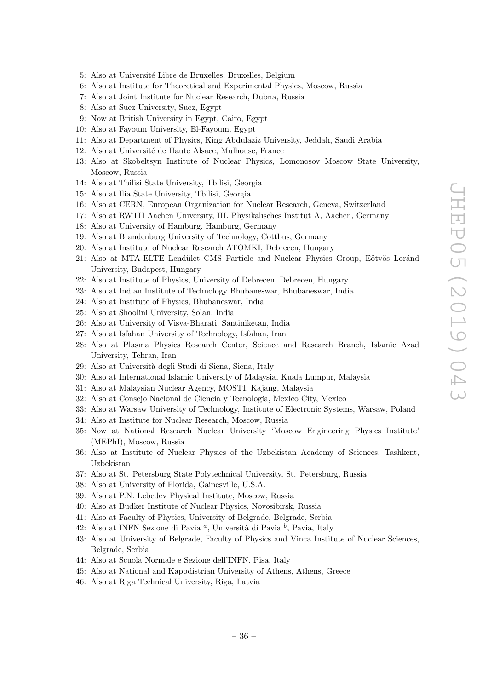- 5: Also at Université Libre de Bruxelles, Bruxelles, Belgium
- 6: Also at Institute for Theoretical and Experimental Physics, Moscow, Russia
- 7: Also at Joint Institute for Nuclear Research, Dubna, Russia
- 8: Also at Suez University, Suez, Egypt
- 9: Now at British University in Egypt, Cairo, Egypt
- 10: Also at Fayoum University, El-Fayoum, Egypt
- 11: Also at Department of Physics, King Abdulaziz University, Jeddah, Saudi Arabia
- 12: Also at Université de Haute Alsace, Mulhouse, France
- 13: Also at Skobeltsyn Institute of Nuclear Physics, Lomonosov Moscow State University, Moscow, Russia
- 14: Also at Tbilisi State University, Tbilisi, Georgia
- 15: Also at Ilia State University, Tbilisi, Georgia
- 16: Also at CERN, European Organization for Nuclear Research, Geneva, Switzerland
- 17: Also at RWTH Aachen University, III. Physikalisches Institut A, Aachen, Germany
- 18: Also at University of Hamburg, Hamburg, Germany
- 19: Also at Brandenburg University of Technology, Cottbus, Germany
- 20: Also at Institute of Nuclear Research ATOMKI, Debrecen, Hungary
- 21: Also at MTA-ELTE Lendület CMS Particle and Nuclear Physics Group, Eötvös Loránd University, Budapest, Hungary
- 22: Also at Institute of Physics, University of Debrecen, Debrecen, Hungary
- 23: Also at Indian Institute of Technology Bhubaneswar, Bhubaneswar, India
- 24: Also at Institute of Physics, Bhubaneswar, India
- 25: Also at Shoolini University, Solan, India
- 26: Also at University of Visva-Bharati, Santiniketan, India
- 27: Also at Isfahan University of Technology, Isfahan, Iran
- 28: Also at Plasma Physics Research Center, Science and Research Branch, Islamic Azad University, Tehran, Iran
- 29: Also at Universit`a degli Studi di Siena, Siena, Italy
- 30: Also at International Islamic University of Malaysia, Kuala Lumpur, Malaysia
- 31: Also at Malaysian Nuclear Agency, MOSTI, Kajang, Malaysia
- 32: Also at Consejo Nacional de Ciencia y Tecnología, Mexico City, Mexico
- 33: Also at Warsaw University of Technology, Institute of Electronic Systems, Warsaw, Poland
- 34: Also at Institute for Nuclear Research, Moscow, Russia
- 35: Now at National Research Nuclear University 'Moscow Engineering Physics Institute' (MEPhI), Moscow, Russia
- 36: Also at Institute of Nuclear Physics of the Uzbekistan Academy of Sciences, Tashkent, Uzbekistan
- 37: Also at St. Petersburg State Polytechnical University, St. Petersburg, Russia
- 38: Also at University of Florida, Gainesville, U.S.A.
- 39: Also at P.N. Lebedev Physical Institute, Moscow, Russia
- 40: Also at Budker Institute of Nuclear Physics, Novosibirsk, Russia
- 41: Also at Faculty of Physics, University of Belgrade, Belgrade, Serbia
- 42: Also at INFN Sezione di Pavia<sup>*a*</sup>, Università di Pavia <sup>b</sup>, Pavia, Italy
- 43: Also at University of Belgrade, Faculty of Physics and Vinca Institute of Nuclear Sciences, Belgrade, Serbia
- 44: Also at Scuola Normale e Sezione dell'INFN, Pisa, Italy
- 45: Also at National and Kapodistrian University of Athens, Athens, Greece
- 46: Also at Riga Technical University, Riga, Latvia